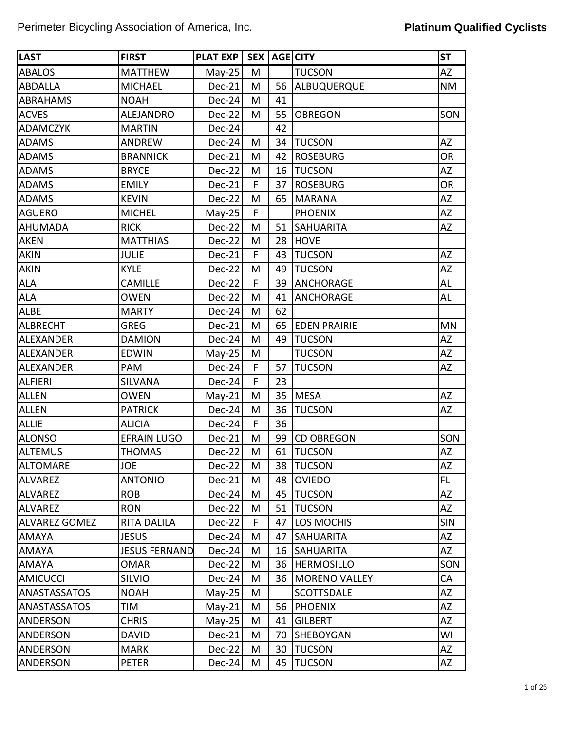| <b>LAST</b>          | <b>FIRST</b>         | <b>PLAT EXP</b> |   |    | <b>SEX AGE CITY</b>  | <b>ST</b>  |
|----------------------|----------------------|-----------------|---|----|----------------------|------------|
| <b>ABALOS</b>        | <b>MATTHEW</b>       | $May-25$        | M |    | <b>TUCSON</b>        | <b>AZ</b>  |
| <b>ABDALLA</b>       | <b>MICHAEL</b>       | Dec-21          | M | 56 | ALBUQUERQUE          | <b>NM</b>  |
| ABRAHAMS             | <b>NOAH</b>          | Dec-24          | M | 41 |                      |            |
| <b>ACVES</b>         | ALEJANDRO            | Dec-22          | M | 55 | <b>OBREGON</b>       | SON        |
| <b>ADAMCZYK</b>      | <b>MARTIN</b>        | $Dec-24$        |   | 42 |                      |            |
| <b>ADAMS</b>         | ANDREW               | Dec-24          | M | 34 | <b>TUCSON</b>        | <b>AZ</b>  |
| <b>ADAMS</b>         | <b>BRANNICK</b>      | Dec-21          | M | 42 | <b>ROSEBURG</b>      | <b>OR</b>  |
| <b>ADAMS</b>         | <b>BRYCE</b>         | Dec-22          | M | 16 | <b>TUCSON</b>        | <b>AZ</b>  |
| <b>ADAMS</b>         | <b>EMILY</b>         | $Dec-21$        | F | 37 | <b>ROSEBURG</b>      | <b>OR</b>  |
| <b>ADAMS</b>         | <b>KEVIN</b>         | Dec-22          | M | 65 | <b>MARANA</b>        | AZ         |
| <b>AGUERO</b>        | <b>MICHEL</b>        | $May-25$        | F |    | <b>PHOENIX</b>       | AZ         |
| <b>AHUMADA</b>       | <b>RICK</b>          | $Dec-22$        | M | 51 | <b>SAHUARITA</b>     | AZ         |
| <b>AKEN</b>          | <b>MATTHIAS</b>      | Dec-22          | M | 28 | <b>HOVE</b>          |            |
| <b>AKIN</b>          | <b>JULIE</b>         | Dec-21          | F | 43 | <b>TUCSON</b>        | <b>AZ</b>  |
| <b>AKIN</b>          | <b>KYLE</b>          | Dec-22          | M | 49 | <b>TUCSON</b>        | <b>AZ</b>  |
| <b>ALA</b>           | CAMILLE              | Dec-22          | F | 39 | <b>ANCHORAGE</b>     | AL         |
| <b>ALA</b>           | <b>OWEN</b>          | Dec-22          | M | 41 | <b>ANCHORAGE</b>     | AL         |
| <b>ALBE</b>          | <b>MARTY</b>         | Dec-24          | M | 62 |                      |            |
| <b>ALBRECHT</b>      | <b>GREG</b>          | Dec-21          | M | 65 | <b>EDEN PRAIRIE</b>  | <b>MN</b>  |
| <b>ALEXANDER</b>     | <b>DAMION</b>        | $Dec-24$        | M | 49 | <b>TUCSON</b>        | <b>AZ</b>  |
| <b>ALEXANDER</b>     | <b>EDWIN</b>         | $May-25$        | M |    | <b>TUCSON</b>        | <b>AZ</b>  |
| <b>ALEXANDER</b>     | PAM                  | $Dec-24$        | F | 57 | <b>TUCSON</b>        | <b>AZ</b>  |
| <b>ALFIERI</b>       | <b>SILVANA</b>       | $Dec-24$        | F | 23 |                      |            |
| <b>ALLEN</b>         | <b>OWEN</b>          | $May-21$        | M | 35 | <b>MESA</b>          | <b>AZ</b>  |
| <b>ALLEN</b>         | <b>PATRICK</b>       | Dec-24          | M | 36 | <b>TUCSON</b>        | AZ         |
| <b>ALLIE</b>         | <b>ALICIA</b>        | $Dec-24$        | F | 36 |                      |            |
| <b>ALONSO</b>        | <b>EFRAIN LUGO</b>   | Dec-21          | M | 99 | <b>CD OBREGON</b>    | SON        |
| <b>ALTEMUS</b>       | <b>THOMAS</b>        | Dec-22          | M | 61 | <b>TUCSON</b>        | AZ         |
| <b>ALTOMARE</b>      | <b>JOE</b>           | $Dec-22$        | M | 38 | <b>TUCSON</b>        | AZ         |
| <b>ALVAREZ</b>       | <b>ANTONIO</b>       | Dec-21          | M | 48 | <b>OVIEDO</b>        | FL.        |
| <b>ALVAREZ</b>       | <b>ROB</b>           | $Dec-24$        | M | 45 | <b>TUCSON</b>        | AZ         |
| <b>ALVAREZ</b>       | <b>RON</b>           | $Dec-22$        | M | 51 | <b>TUCSON</b>        | <b>AZ</b>  |
| <b>ALVAREZ GOMEZ</b> | <b>RITA DALILA</b>   | $Dec-22$        | F | 47 | <b>LOS MOCHIS</b>    | <b>SIN</b> |
| <b>AMAYA</b>         | <b>JESUS</b>         | $Dec-24$        | M | 47 | <b>SAHUARITA</b>     | AZ         |
| <b>AMAYA</b>         | <b>JESUS FERNAND</b> | $Dec-24$        | M | 16 | <b>SAHUARITA</b>     | AZ         |
| <b>AMAYA</b>         | <b>OMAR</b>          | $Dec-22$        | M | 36 | <b>HERMOSILLO</b>    | SON        |
| <b>AMICUCCI</b>      | <b>SILVIO</b>        | $Dec-24$        | М | 36 | <b>MORENO VALLEY</b> | CA         |
| ANASTASSATOS         | <b>NOAH</b>          | $May-25$        | M |    | <b>SCOTTSDALE</b>    | AZ         |
| ANASTASSATOS         | TIM                  | $May-21$        | M | 56 | <b>PHOENIX</b>       | AZ         |
| <b>ANDERSON</b>      | <b>CHRIS</b>         | $May-25$        | M | 41 | <b>GILBERT</b>       | AZ         |
| <b>ANDERSON</b>      | <b>DAVID</b>         | Dec-21          | M | 70 | <b>SHEBOYGAN</b>     | WI         |
| <b>ANDERSON</b>      | <b>MARK</b>          | $Dec-22$        | M | 30 | <b>TUCSON</b>        | AZ         |
| ANDERSON             | <b>PETER</b>         | Dec-24          | M | 45 | <b>TUCSON</b>        | AZ         |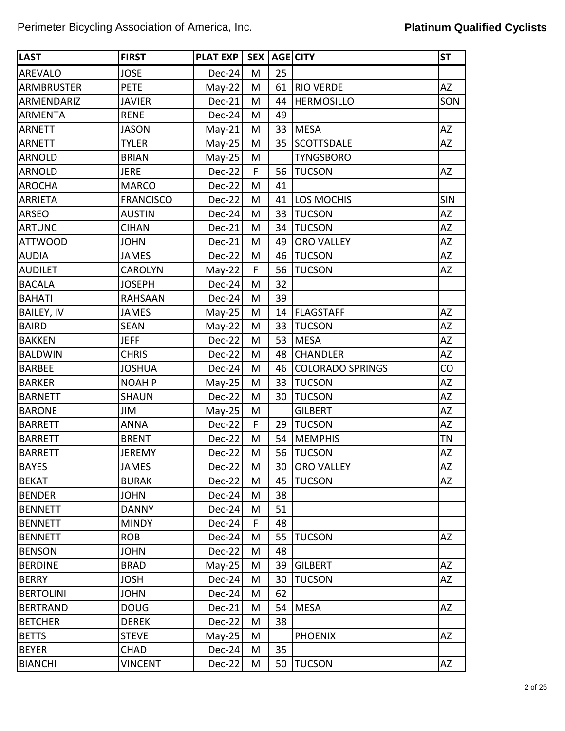| <b>LAST</b>       | <b>FIRST</b>     | <b>PLAT EXP</b> | SEX <sup>1</sup> |    | <b>AGE CITY</b>         | <b>ST</b> |
|-------------------|------------------|-----------------|------------------|----|-------------------------|-----------|
| <b>AREVALO</b>    | <b>JOSE</b>      | $Dec-24$        | M                | 25 |                         |           |
| ARMBRUSTER        | <b>PETE</b>      | $May-22$        | M                | 61 | <b>RIO VERDE</b>        | <b>AZ</b> |
| ARMENDARIZ        | <b>JAVIER</b>    | <b>Dec-21</b>   | M                | 44 | <b>HERMOSILLO</b>       | SON       |
| <b>ARMENTA</b>    | <b>RENE</b>      | Dec-24          | M                | 49 |                         |           |
| <b>ARNETT</b>     | <b>JASON</b>     | $May-21$        | M                | 33 | <b>MESA</b>             | <b>AZ</b> |
| <b>ARNETT</b>     | <b>TYLER</b>     | $May-25$        | M                | 35 | <b>SCOTTSDALE</b>       | AZ        |
| <b>ARNOLD</b>     | <b>BRIAN</b>     | $May-25$        | M                |    | <b>TYNGSBORO</b>        |           |
| <b>ARNOLD</b>     | <b>JERE</b>      | $Dec-22$        | F                | 56 | <b>TUCSON</b>           | AZ        |
| <b>AROCHA</b>     | <b>MARCO</b>     | Dec-22          | M                | 41 |                         |           |
| <b>ARRIETA</b>    | <b>FRANCISCO</b> | $Dec-22$        | M                | 41 | LOS MOCHIS              | SIN       |
| <b>ARSEO</b>      | <b>AUSTIN</b>    | Dec-24          | M                | 33 | <b>TUCSON</b>           | AZ        |
| <b>ARTUNC</b>     | <b>CIHAN</b>     | Dec-21          | M                | 34 | <b>TUCSON</b>           | <b>AZ</b> |
| <b>ATTWOOD</b>    | <b>JOHN</b>      | Dec-21          | M                | 49 | <b>ORO VALLEY</b>       | ΑZ        |
| <b>AUDIA</b>      | <b>JAMES</b>     | $Dec-22$        | M                | 46 | <b>TUCSON</b>           | AZ        |
| <b>AUDILET</b>    | <b>CAROLYN</b>   | $May-22$        | F                | 56 | <b>TUCSON</b>           | <b>AZ</b> |
| <b>BACALA</b>     | <b>JOSEPH</b>    | $Dec-24$        | M                | 32 |                         |           |
| <b>BAHATI</b>     | <b>RAHSAAN</b>   | Dec-24          | M                | 39 |                         |           |
| <b>BAILEY, IV</b> | <b>JAMES</b>     | $May-25$        | M                | 14 | <b>FLAGSTAFF</b>        | <b>AZ</b> |
| <b>BAIRD</b>      | <b>SEAN</b>      | $May-22$        | M                | 33 | <b>TUCSON</b>           | <b>AZ</b> |
| <b>BAKKEN</b>     | <b>JEFF</b>      | Dec-22          | M                | 53 | <b>MESA</b>             | AZ        |
| <b>BALDWIN</b>    | <b>CHRIS</b>     | $Dec-22$        | M                | 48 | <b>CHANDLER</b>         | AZ        |
| <b>BARBEE</b>     | <b>JOSHUA</b>    | Dec-24          | M                | 46 | <b>COLORADO SPRINGS</b> | CO        |
| <b>BARKER</b>     | <b>NOAH P</b>    | $May-25$        | M                | 33 | <b>TUCSON</b>           | <b>AZ</b> |
| <b>BARNETT</b>    | <b>SHAUN</b>     | Dec-22          | M                | 30 | <b>TUCSON</b>           | AZ        |
| <b>BARONE</b>     | JIM              | $May-25$        | M                |    | <b>GILBERT</b>          | AZ        |
| <b>BARRETT</b>    | <b>ANNA</b>      | Dec-22          | F                | 29 | <b>TUCSON</b>           | AZ        |
| <b>BARRETT</b>    | <b>BRENT</b>     | Dec-22          | M                | 54 | <b>MEMPHIS</b>          | <b>TN</b> |
| <b>BARRETT</b>    | <b>JEREMY</b>    | Dec-22          | M                | 56 | <b>TUCSON</b>           | AZ        |
| <b>BAYES</b>      | <b>JAMES</b>     | $Dec-22$        | M                | 30 | <b>ORO VALLEY</b>       | AZ        |
| <b>BEKAT</b>      | <b>BURAK</b>     | $Dec-22$        | M                | 45 | <b>TUCSON</b>           | AZ        |
| <b>BENDER</b>     | <b>JOHN</b>      | $Dec-24$        | M                | 38 |                         |           |
| <b>BENNETT</b>    | <b>DANNY</b>     | $Dec-24$        | M                | 51 |                         |           |
| <b>BENNETT</b>    | <b>MINDY</b>     | $Dec-24$        | F                | 48 |                         |           |
| <b>BENNETT</b>    | <b>ROB</b>       | $Dec-24$        | M                | 55 | <b>TUCSON</b>           | AZ        |
| <b>BENSON</b>     | <b>JOHN</b>      | $Dec-22$        | M                | 48 |                         |           |
| <b>BERDINE</b>    | <b>BRAD</b>      | $May-25$        | M                | 39 | <b>GILBERT</b>          | AZ        |
| <b>BERRY</b>      | <b>JOSH</b>      | $Dec-24$        | M                | 30 | <b>TUCSON</b>           | AZ        |
| <b>BERTOLINI</b>  | <b>JOHN</b>      | $Dec-24$        | M                | 62 |                         |           |
| <b>BERTRAND</b>   | <b>DOUG</b>      | Dec-21          | M                | 54 | <b>MESA</b>             | AZ        |
| <b>BETCHER</b>    | <b>DEREK</b>     | $Dec-22$        | M                | 38 |                         |           |
| <b>BETTS</b>      | <b>STEVE</b>     | $May-25$        | M                |    | <b>PHOENIX</b>          | AZ        |
| <b>BEYER</b>      | <b>CHAD</b>      | $Dec-24$        | M                | 35 |                         |           |
| <b>BIANCHI</b>    | <b>VINCENT</b>   | $Dec-22$        | M                | 50 | <b>TUCSON</b>           | AZ        |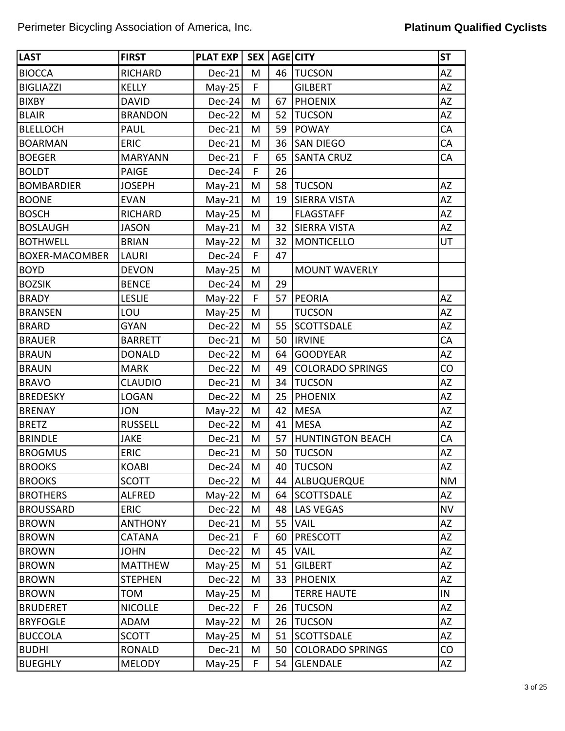| <b>LAST</b>           | <b>FIRST</b>   | <b>PLAT EXP</b> |    |    | <b>SEX   AGE   CITY</b> | <b>ST</b> |
|-----------------------|----------------|-----------------|----|----|-------------------------|-----------|
| <b>BIOCCA</b>         | <b>RICHARD</b> | $Dec-21$        | M  | 46 | <b>TUCSON</b>           | AZ        |
| <b>BIGLIAZZI</b>      | <b>KELLY</b>   | $May-25$        | F  |    | <b>GILBERT</b>          | ΑZ        |
| <b>BIXBY</b>          | <b>DAVID</b>   | $Dec-24$        | M  | 67 | PHOENIX                 | AZ        |
| <b>BLAIR</b>          | <b>BRANDON</b> | Dec-22          | M  | 52 | <b>TUCSON</b>           | ΑZ        |
| <b>BLELLOCH</b>       | <b>PAUL</b>    | Dec-21          | M  | 59 | <b>POWAY</b>            | CA        |
| <b>BOARMAN</b>        | <b>ERIC</b>    | Dec-21          | M  | 36 | <b>SAN DIEGO</b>        | CA        |
| <b>BOEGER</b>         | <b>MARYANN</b> | Dec-21          | F  | 65 | <b>SANTA CRUZ</b>       | CA        |
| <b>BOLDT</b>          | <b>PAIGE</b>   | Dec-24          | F  | 26 |                         |           |
| <b>BOMBARDIER</b>     | <b>JOSEPH</b>  | $May-21$        | M  | 58 | <b>TUCSON</b>           | AZ        |
| <b>BOONE</b>          | <b>EVAN</b>    | $May-21$        | M  | 19 | <b>SIERRA VISTA</b>     | AZ        |
| <b>BOSCH</b>          | <b>RICHARD</b> | $May-25$        | M  |    | <b>FLAGSTAFF</b>        | AZ        |
| <b>BOSLAUGH</b>       | <b>JASON</b>   | $May-21$        | M  | 32 | <b>SIERRA VISTA</b>     | AZ        |
| <b>BOTHWELL</b>       | <b>BRIAN</b>   | $May-22$        | M  | 32 | MONTICELLO              | UT        |
| <b>BOXER-MACOMBER</b> | <b>LAURI</b>   | $Dec-24$        | F  | 47 |                         |           |
| <b>BOYD</b>           | <b>DEVON</b>   | $May-25$        | M  |    | <b>MOUNT WAVERLY</b>    |           |
| <b>BOZSIK</b>         | <b>BENCE</b>   | $Dec-24$        | M  | 29 |                         |           |
| <b>BRADY</b>          | <b>LESLIE</b>  | $May-22$        | F  | 57 | <b>PEORIA</b>           | AZ        |
| <b>BRANSEN</b>        | LOU            | $May-25$        | M  |    | <b>TUCSON</b>           | ΑZ        |
| <b>BRARD</b>          | <b>GYAN</b>    | Dec-22          | M  | 55 | <b>SCOTTSDALE</b>       | ΑZ        |
| <b>BRAUER</b>         | <b>BARRETT</b> | $Dec-21$        | M  | 50 | <b>IRVINE</b>           | CA        |
| <b>BRAUN</b>          | <b>DONALD</b>  | Dec-22          | M  | 64 | <b>GOODYEAR</b>         | AZ        |
| <b>BRAUN</b>          | <b>MARK</b>    | $Dec-22$        | M  | 49 | <b>COLORADO SPRINGS</b> | CO        |
| <b>BRAVO</b>          | <b>CLAUDIO</b> | Dec-21          | M  | 34 | <b>TUCSON</b>           | AZ        |
| <b>BREDESKY</b>       | <b>LOGAN</b>   | $Dec-22$        | M  | 25 | <b>PHOENIX</b>          | ΑZ        |
| <b>BRENAY</b>         | <b>JON</b>     | $May-22$        | M  | 42 | <b>MESA</b>             | AZ        |
| <b>BRETZ</b>          | <b>RUSSELL</b> | Dec-22          | M  | 41 | <b>MESA</b>             | ΑZ        |
| <b>BRINDLE</b>        | <b>JAKE</b>    | Dec-21          | M  | 57 | <b>HUNTINGTON BEACH</b> | CA        |
| <b>BROGMUS</b>        | <b>ERIC</b>    | Dec-21          | M  | 50 | <b>TUCSON</b>           | ΑZ        |
| <b>BROOKS</b>         | <b>KOABI</b>   | $Dec-24$        | M  | 40 | <b>TUCSON</b>           | AZ        |
| <b>BROOKS</b>         | <b>SCOTT</b>   | Dec-22          | M  | 44 | ALBUQUERQUE             | ΝM        |
| <b>BROTHERS</b>       | <b>ALFRED</b>  | $May-22$        | M  | 64 | <b>SCOTTSDALE</b>       | AZ        |
| <b>BROUSSARD</b>      | <b>ERIC</b>    | $Dec-22$        | M  | 48 | <b>LAS VEGAS</b>        | <b>NV</b> |
| <b>BROWN</b>          | <b>ANTHONY</b> | $Dec-21$        | M  | 55 | <b>VAIL</b>             | AZ        |
| <b>BROWN</b>          | <b>CATANA</b>  | $Dec-21$        | F  | 60 | <b>PRESCOTT</b>         | AZ        |
| <b>BROWN</b>          | <b>JOHN</b>    | $Dec-22$        | M  | 45 | <b>VAIL</b>             | AZ        |
| <b>BROWN</b>          | <b>MATTHEW</b> | $May-25$        | M  | 51 | <b>GILBERT</b>          | AZ        |
| <b>BROWN</b>          | <b>STEPHEN</b> | $Dec-22$        | M  | 33 | <b>PHOENIX</b>          | AZ        |
| <b>BROWN</b>          | <b>TOM</b>     | $May-25$        | M  |    | <b>TERRE HAUTE</b>      | IN        |
| <b>BRUDERET</b>       | <b>NICOLLE</b> | $Dec-22$        | F  | 26 | <b>TUCSON</b>           | AZ        |
| <b>BRYFOGLE</b>       | <b>ADAM</b>    | $May-22$        | M  | 26 | <b>TUCSON</b>           | AZ        |
| <b>BUCCOLA</b>        | <b>SCOTT</b>   | $May-25$        | M  | 51 | <b>SCOTTSDALE</b>       | AZ        |
| <b>BUDHI</b>          | <b>RONALD</b>  | $Dec-21$        | M  | 50 | <b>COLORADO SPRINGS</b> | CO        |
| <b>BUEGHLY</b>        | <b>MELODY</b>  | $May-25$        | F. | 54 | <b>GLENDALE</b>         | AZ        |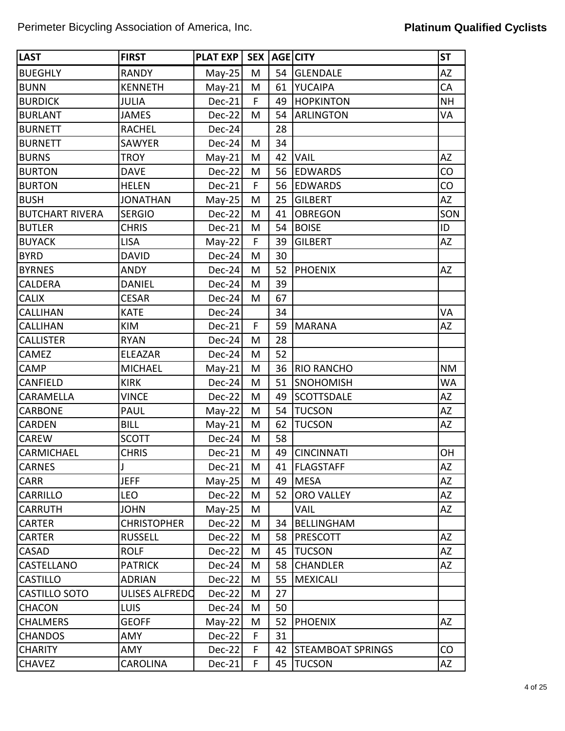| <b>LAST</b>            | <b>FIRST</b>       | <b>PLAT EXP</b> |   |    | <b>SEX AGE CITY</b>      | <b>ST</b> |
|------------------------|--------------------|-----------------|---|----|--------------------------|-----------|
| <b>BUEGHLY</b>         | <b>RANDY</b>       | $May-25$        | M | 54 | <b>GLENDALE</b>          | <b>AZ</b> |
| <b>BUNN</b>            | <b>KENNETH</b>     | $May-21$        | M | 61 | <b>YUCAIPA</b>           | CA        |
| <b>BURDICK</b>         | <b>JULIA</b>       | Dec-21          | F | 49 | <b>HOPKINTON</b>         | <b>NH</b> |
| <b>BURLANT</b>         | <b>JAMES</b>       | Dec-22          | M | 54 | <b>ARLINGTON</b>         | VA        |
| <b>BURNETT</b>         | <b>RACHEL</b>      | Dec-24          |   | 28 |                          |           |
| <b>BURNETT</b>         | <b>SAWYER</b>      | Dec-24          | M | 34 |                          |           |
| <b>BURNS</b>           | <b>TROY</b>        | $May-21$        | M | 42 | <b>VAIL</b>              | <b>AZ</b> |
| <b>BURTON</b>          | <b>DAVE</b>        | Dec-22          | M | 56 | <b>EDWARDS</b>           | CO        |
| <b>BURTON</b>          | <b>HELEN</b>       | Dec-21          | F | 56 | <b>EDWARDS</b>           | CO        |
| <b>BUSH</b>            | <b>JONATHAN</b>    | $May-25$        | M | 25 | <b>GILBERT</b>           | <b>AZ</b> |
| <b>BUTCHART RIVERA</b> | <b>SERGIO</b>      | Dec-22          | M | 41 | <b>OBREGON</b>           | SON       |
| <b>BUTLER</b>          | <b>CHRIS</b>       | Dec-21          | M | 54 | <b>BOISE</b>             | ID        |
| <b>BUYACK</b>          | <b>LISA</b>        | $May-22$        | F | 39 | <b>GILBERT</b>           | AZ        |
| <b>BYRD</b>            | <b>DAVID</b>       | Dec-24          | M | 30 |                          |           |
| <b>BYRNES</b>          | <b>ANDY</b>        | Dec-24          | M | 52 | <b>PHOENIX</b>           | <b>AZ</b> |
| <b>CALDERA</b>         | <b>DANIEL</b>      | Dec-24          | M | 39 |                          |           |
| <b>CALIX</b>           | <b>CESAR</b>       | Dec-24          | M | 67 |                          |           |
| <b>CALLIHAN</b>        | <b>KATE</b>        | Dec-24          |   | 34 |                          | VA        |
| <b>CALLIHAN</b>        | KIM                | Dec-21          | F | 59 | <b>MARANA</b>            | ΑZ        |
| <b>CALLISTER</b>       | <b>RYAN</b>        | Dec-24          | M | 28 |                          |           |
| CAMEZ                  | ELEAZAR            | Dec-24          | M | 52 |                          |           |
| CAMP                   | <b>MICHAEL</b>     | $May-21$        | M | 36 | <b>RIO RANCHO</b>        | <b>NM</b> |
| CANFIELD               | <b>KIRK</b>        | Dec-24          | M | 51 | <b>SNOHOMISH</b>         | <b>WA</b> |
| CARAMELLA              | <b>VINCE</b>       | Dec-22          | M | 49 | <b>SCOTTSDALE</b>        | <b>AZ</b> |
| <b>CARBONE</b>         | <b>PAUL</b>        | $May-22$        | M | 54 | <b>TUCSON</b>            | AZ        |
| <b>CARDEN</b>          | <b>BILL</b>        | $May-21$        | M | 62 | <b>TUCSON</b>            | AZ        |
| <b>CAREW</b>           | <b>SCOTT</b>       | Dec-24          | M | 58 |                          |           |
| <b>CARMICHAEL</b>      | <b>CHRIS</b>       | Dec-21          | M | 49 | <b>CINCINNATI</b>        | OH        |
| <b>CARNES</b>          | J                  | $Dec-21$        | M |    | 41   FLAGSTAFF           | <b>AZ</b> |
| <b>CARR</b>            | <b>JEFF</b>        | $May-25$        | M | 49 | <b>MESA</b>              | AZ        |
| <b>CARRILLO</b>        | <b>LEO</b>         | Dec-22          | M | 52 | <b>ORO VALLEY</b>        | AZ        |
| <b>CARRUTH</b>         | <b>JOHN</b>        | $May-25$        | M |    | VAIL                     | AZ        |
| <b>CARTER</b>          | <b>CHRISTOPHER</b> | Dec-22          | M | 34 | <b>BELLINGHAM</b>        |           |
| <b>CARTER</b>          | <b>RUSSELL</b>     | Dec-22          | M | 58 | <b>PRESCOTT</b>          | <b>AZ</b> |
| <b>CASAD</b>           | <b>ROLF</b>        | Dec-22          | M | 45 | <b>TUCSON</b>            | <b>AZ</b> |
| <b>CASTELLANO</b>      | <b>PATRICK</b>     | Dec-24          | M | 58 | <b>CHANDLER</b>          | AZ        |
| <b>CASTILLO</b>        | <b>ADRIAN</b>      | Dec-22          | M | 55 | <b>MEXICALI</b>          |           |
| <b>CASTILLO SOTO</b>   | ULISES ALFREDO     | Dec-22          | Μ | 27 |                          |           |
| <b>CHACON</b>          | <b>LUIS</b>        | Dec-24          | M | 50 |                          |           |
| <b>CHALMERS</b>        | <b>GEOFF</b>       | May-22          | Μ | 52 | <b>PHOENIX</b>           | AZ        |
| <b>CHANDOS</b>         | AMY                | Dec-22          | F | 31 |                          |           |
| <b>CHARITY</b>         | AMY                | Dec-22          | F | 42 | <b>STEAMBOAT SPRINGS</b> | CO        |
| <b>CHAVEZ</b>          | <b>CAROLINA</b>    | Dec-21          | F | 45 | <b>TUCSON</b>            | AZ        |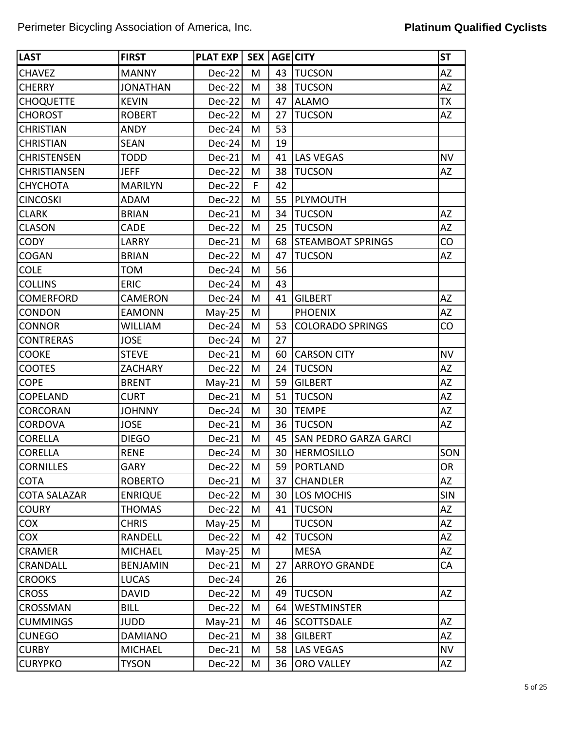| <b>LAST</b>         | <b>FIRST</b>    | <b>PLAT EXP</b> | <b>SEX</b> |    | <b>AGE CITY</b>              | <b>ST</b>  |
|---------------------|-----------------|-----------------|------------|----|------------------------------|------------|
| <b>CHAVEZ</b>       | <b>MANNY</b>    | Dec-22          | M          | 43 | <b>TUCSON</b>                | AZ         |
| <b>CHERRY</b>       | <b>JONATHAN</b> | Dec-22          | M          | 38 | <b>TUCSON</b>                | <b>AZ</b>  |
| <b>CHOQUETTE</b>    | <b>KEVIN</b>    | <b>Dec-22</b>   | M          | 47 | <b>ALAMO</b>                 | <b>TX</b>  |
| <b>CHOROST</b>      | <b>ROBERT</b>   | Dec-22          | M          | 27 | <b>TUCSON</b>                | AZ         |
| <b>CHRISTIAN</b>    | <b>ANDY</b>     | Dec-24          | M          | 53 |                              |            |
| <b>CHRISTIAN</b>    | <b>SEAN</b>     | Dec-24          | M          | 19 |                              |            |
| <b>CHRISTENSEN</b>  | <b>TODD</b>     | Dec-21          | M          | 41 | <b>LAS VEGAS</b>             | <b>NV</b>  |
| <b>CHRISTIANSEN</b> | <b>JEFF</b>     | Dec-22          | M          | 38 | <b>TUCSON</b>                | AZ         |
| СНУСНОТА            | <b>MARILYN</b>  | $Dec-22$        | F          | 42 |                              |            |
| <b>CINCOSKI</b>     | ADAM            | Dec-22          | M          | 55 | PLYMOUTH                     |            |
| <b>CLARK</b>        | <b>BRIAN</b>    | Dec-21          | M          | 34 | <b>TUCSON</b>                | AZ         |
| <b>CLASON</b>       | CADE            | Dec-22          | M          | 25 | <b>TUCSON</b>                | AZ         |
| <b>CODY</b>         | LARRY           | Dec-21          | M          | 68 | <b>STEAMBOAT SPRINGS</b>     | CO         |
| COGAN               | <b>BRIAN</b>    | Dec-22          | M          | 47 | <b>TUCSON</b>                | AZ         |
| <b>COLE</b>         | <b>TOM</b>      | Dec-24          | M          | 56 |                              |            |
| <b>COLLINS</b>      | <b>ERIC</b>     | $Dec-24$        | M          | 43 |                              |            |
| <b>COMERFORD</b>    | CAMERON         | Dec-24          | M          | 41 | <b>GILBERT</b>               | <b>AZ</b>  |
| <b>CONDON</b>       | <b>EAMONN</b>   | $May-25$        | M          |    | <b>PHOENIX</b>               | <b>AZ</b>  |
| <b>CONNOR</b>       | <b>WILLIAM</b>  | Dec-24          | M          | 53 | <b>COLORADO SPRINGS</b>      | CO         |
| <b>CONTRERAS</b>    | <b>JOSE</b>     | $Dec-24$        | M          | 27 |                              |            |
| <b>COOKE</b>        | <b>STEVE</b>    | Dec-21          | M          | 60 | <b>CARSON CITY</b>           | <b>NV</b>  |
| <b>COOTES</b>       | <b>ZACHARY</b>  | Dec-22          | M          | 24 | <b>TUCSON</b>                | AZ         |
| <b>COPE</b>         | <b>BRENT</b>    | $May-21$        | M          | 59 | <b>GILBERT</b>               | AZ         |
| COPELAND            | <b>CURT</b>     | Dec-21          | M          | 51 | <b>TUCSON</b>                | AZ         |
| <b>CORCORAN</b>     | <b>JOHNNY</b>   | Dec-24          | M          | 30 | <b>TEMPE</b>                 | AZ         |
| <b>CORDOVA</b>      | <b>JOSE</b>     | Dec-21          | M          | 36 | <b>TUCSON</b>                | AZ         |
| <b>CORELLA</b>      | <b>DIEGO</b>    | Dec-21          | M          | 45 | <b>SAN PEDRO GARZA GARCI</b> |            |
| <b>CORELLA</b>      | <b>RENE</b>     | Dec-24          | M          | 30 | <b>HERMOSILLO</b>            | SON        |
| <b>CORNILLES</b>    | <b>GARY</b>     | $Dec-22$        | M          | 59 | PORTLAND                     | <b>OR</b>  |
| <b>COTA</b>         | <b>ROBERTO</b>  | Dec-21          | M          | 37 | <b>CHANDLER</b>              | AZ         |
| <b>COTA SALAZAR</b> | <b>ENRIQUE</b>  | $Dec-22$        | M          | 30 | LOS MOCHIS                   | <b>SIN</b> |
| <b>COURY</b>        | <b>THOMAS</b>   | $Dec-22$        | М          | 41 | <b>TUCSON</b>                | AZ         |
| <b>COX</b>          | <b>CHRIS</b>    | $May-25$        | M          |    | <b>TUCSON</b>                | AZ         |
| <b>COX</b>          | RANDELL         | $Dec-22$        | M          | 42 | <b>TUCSON</b>                | AZ         |
| <b>CRAMER</b>       | <b>MICHAEL</b>  | $May-25$        | M          |    | <b>MESA</b>                  | AZ         |
| CRANDALL            | <b>BENJAMIN</b> | Dec-21          | M          | 27 | <b>ARROYO GRANDE</b>         | CA         |
| <b>CROOKS</b>       | <b>LUCAS</b>    | $Dec-24$        |            | 26 |                              |            |
| <b>CROSS</b>        | <b>DAVID</b>    | $Dec-22$        | M          | 49 | <b>TUCSON</b>                | AZ         |
| CROSSMAN            | <b>BILL</b>     | Dec-22          | M          | 64 | <b>WESTMINSTER</b>           |            |
| <b>CUMMINGS</b>     | <b>JUDD</b>     | $May-21$        | M          | 46 | <b>SCOTTSDALE</b>            | AZ         |
| <b>CUNEGO</b>       | <b>DAMIANO</b>  | Dec-21          | M          | 38 | <b>GILBERT</b>               | AZ         |
| <b>CURBY</b>        | <b>MICHAEL</b>  | Dec-21          | M          | 58 | <b>LAS VEGAS</b>             | <b>NV</b>  |
| <b>CURYPKO</b>      | <b>TYSON</b>    | $Dec-22$        | M          | 36 | ORO VALLEY                   | AZ         |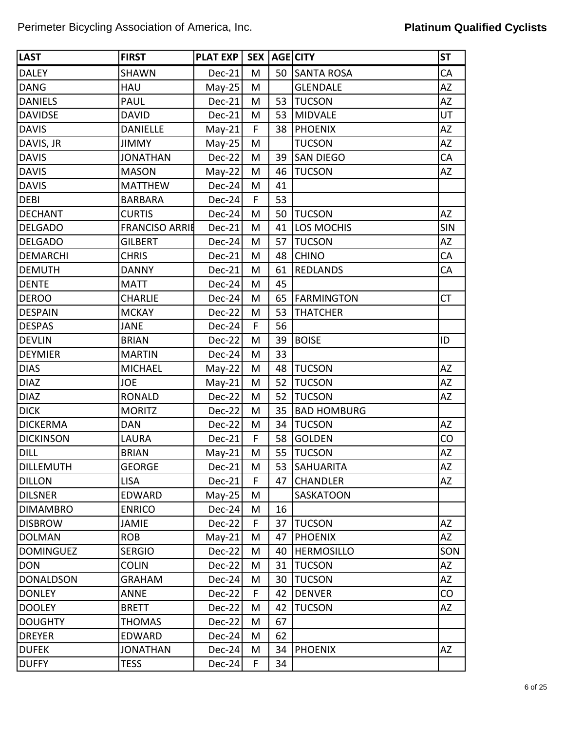| <b>LAST</b>      | <b>FIRST</b>          | <b>PLAT EXP</b> | SEX <sup>1</sup> |    | AGE CITY           | <b>ST</b>  |
|------------------|-----------------------|-----------------|------------------|----|--------------------|------------|
| <b>DALEY</b>     | <b>SHAWN</b>          | $Dec-21$        | M                | 50 | <b>SANTA ROSA</b>  | CA         |
| <b>DANG</b>      | HAU                   | $May-25$        | M                |    | <b>GLENDALE</b>    | AZ         |
| <b>DANIELS</b>   | <b>PAUL</b>           | Dec-21          | M                | 53 | <b>TUCSON</b>      | AZ         |
| <b>DAVIDSE</b>   | <b>DAVID</b>          | Dec-21          | M                | 53 | <b>MIDVALE</b>     | UT         |
| <b>DAVIS</b>     | <b>DANIELLE</b>       | $May-21$        | F                | 38 | <b>PHOENIX</b>     | AZ         |
| DAVIS, JR        | <b>JIMMY</b>          | $May-25$        | M                |    | <b>TUCSON</b>      | <b>AZ</b>  |
| <b>DAVIS</b>     | <b>JONATHAN</b>       | $Dec-22$        | M                | 39 | <b>SAN DIEGO</b>   | CA         |
| <b>DAVIS</b>     | <b>MASON</b>          | $May-22$        | M                | 46 | <b>TUCSON</b>      | AZ         |
| <b>DAVIS</b>     | <b>MATTHEW</b>        | $Dec-24$        | M                | 41 |                    |            |
| <b>DEBI</b>      | <b>BARBARA</b>        | $Dec-24$        | F                | 53 |                    |            |
| <b>DECHANT</b>   | <b>CURTIS</b>         | $Dec-24$        | M                | 50 | <b>TUCSON</b>      | <b>AZ</b>  |
| <b>DELGADO</b>   | <b>FRANCISO ARRIE</b> | Dec-21          | M                | 41 | <b>LOS MOCHIS</b>  | <b>SIN</b> |
| <b>DELGADO</b>   | <b>GILBERT</b>        | $Dec-24$        | M                | 57 | <b>TUCSON</b>      | <b>AZ</b>  |
| <b>DEMARCHI</b>  | <b>CHRIS</b>          | $Dec-21$        | M                | 48 | <b>CHINO</b>       | CA         |
| <b>DEMUTH</b>    | <b>DANNY</b>          | Dec-21          | M                | 61 | <b>REDLANDS</b>    | CA         |
| <b>DENTE</b>     | <b>MATT</b>           | $Dec-24$        | M                | 45 |                    |            |
| <b>DEROO</b>     | <b>CHARLIE</b>        | Dec-24          | M                | 65 | <b>FARMINGTON</b>  | <b>CT</b>  |
| <b>DESPAIN</b>   | <b>MCKAY</b>          | $Dec-22$        | M                | 53 | <b>THATCHER</b>    |            |
| <b>DESPAS</b>    | <b>JANE</b>           | Dec-24          | F                | 56 |                    |            |
| <b>DEVLIN</b>    | <b>BRIAN</b>          | $Dec-22$        | M                | 39 | <b>BOISE</b>       | ID         |
| <b>DEYMIER</b>   | <b>MARTIN</b>         | Dec-24          | M                | 33 |                    |            |
| <b>DIAS</b>      | <b>MICHAEL</b>        | $May-22$        | M                | 48 | <b>TUCSON</b>      | AZ         |
| <b>DIAZ</b>      | <b>JOE</b>            | $May-21$        | M                | 52 | <b>TUCSON</b>      | <b>AZ</b>  |
| <b>DIAZ</b>      | <b>RONALD</b>         | Dec-22          | M                | 52 | <b>TUCSON</b>      | AZ         |
| <b>DICK</b>      | <b>MORITZ</b>         | Dec-22          | M                | 35 | <b>BAD HOMBURG</b> |            |
| <b>DICKERMA</b>  | <b>DAN</b>            | Dec-22          | M                | 34 | <b>TUCSON</b>      | AZ         |
| <b>DICKINSON</b> | LAURA                 | $Dec-21$        | F                | 58 | <b>GOLDEN</b>      | CO         |
| <b>DILL</b>      | <b>BRIAN</b>          | $May-21$        | M                | 55 | <b>TUCSON</b>      | AZ         |
| <b>DILLEMUTH</b> | <b>GEORGE</b>         | $Dec-21$        | M                | 53 | <b>SAHUARITA</b>   | AZ         |
| <b>DILLON</b>    | <b>LISA</b>           | $Dec-21$        | F                | 47 | <b>CHANDLER</b>    | AZ         |
| <b>DILSNER</b>   | EDWARD                | $May-25$        | M                |    | SASKATOON          |            |
| <b>DIMAMBRO</b>  | <b>ENRICO</b>         | $Dec-24$        | M                | 16 |                    |            |
| <b>DISBROW</b>   | <b>JAMIE</b>          | $Dec-22$        | F                | 37 | <b>TUCSON</b>      | AZ         |
| <b>DOLMAN</b>    | <b>ROB</b>            | $May-21$        | M                | 47 | <b>PHOENIX</b>     | AZ         |
| <b>DOMINGUEZ</b> | <b>SERGIO</b>         | $Dec-22$        | M                | 40 | <b>HERMOSILLO</b>  | SON        |
| <b>DON</b>       | <b>COLIN</b>          | $Dec-22$        | M                | 31 | <b>TUCSON</b>      | AZ         |
| <b>DONALDSON</b> | <b>GRAHAM</b>         | $Dec-24$        | M                | 30 | <b>TUCSON</b>      | AZ         |
| <b>DONLEY</b>    | ANNE                  | $Dec-22$        | F                | 42 | <b>DENVER</b>      | CO         |
| <b>DOOLEY</b>    | <b>BRETT</b>          | Dec-22          | M                | 42 | <b>TUCSON</b>      | AZ         |
| <b>DOUGHTY</b>   | <b>THOMAS</b>         | $Dec-22$        | M                | 67 |                    |            |
| <b>DREYER</b>    | EDWARD                | $Dec-24$        | M                | 62 |                    |            |
| <b>DUFEK</b>     | <b>JONATHAN</b>       | $Dec-24$        | M                | 34 | <b>PHOENIX</b>     | <b>AZ</b>  |
| <b>DUFFY</b>     | <b>TESS</b>           | $Dec-24$        | F.               | 34 |                    |            |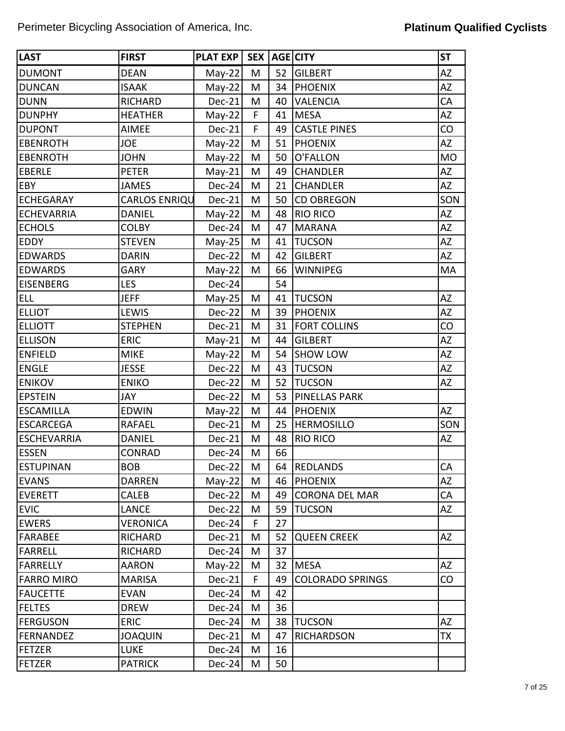| <b>LAST</b>        | <b>FIRST</b>         | PLAT EXP | <b>SEX</b> |    | AGE CITY                | <b>ST</b> |
|--------------------|----------------------|----------|------------|----|-------------------------|-----------|
| <b>DUMONT</b>      | <b>DEAN</b>          | $May-22$ | M          | 52 | <b>GILBERT</b>          | <b>AZ</b> |
| <b>DUNCAN</b>      | <b>ISAAK</b>         | $May-22$ | M          | 34 | <b>PHOENIX</b>          | <b>AZ</b> |
| <b>DUNN</b>        | <b>RICHARD</b>       | Dec-21   | M          | 40 | <b>VALENCIA</b>         | CA        |
| <b>DUNPHY</b>      | <b>HEATHER</b>       | $May-22$ | F          | 41 | <b>MESA</b>             | AZ        |
| <b>DUPONT</b>      | <b>AIMEE</b>         | $Dec-21$ | F          | 49 | <b>CASTLE PINES</b>     | CO        |
| <b>EBENROTH</b>    | <b>JOE</b>           | $May-22$ | M          | 51 | <b>PHOENIX</b>          | AZ        |
| <b>EBENROTH</b>    | <b>JOHN</b>          | $May-22$ | M          | 50 | O'FALLON                | <b>MO</b> |
| <b>EBERLE</b>      | <b>PETER</b>         | $May-21$ | M          | 49 | <b>CHANDLER</b>         | AZ        |
| EBY                | <b>JAMES</b>         | $Dec-24$ | M          | 21 | <b>CHANDLER</b>         | AZ        |
| <b>ECHEGARAY</b>   | <b>CARLOS ENRIQU</b> | Dec-21   | M          | 50 | <b>CD OBREGON</b>       | SON       |
| <b>ECHEVARRIA</b>  | <b>DANIEL</b>        | $May-22$ | M          | 48 | <b>RIO RICO</b>         | AZ        |
| <b>ECHOLS</b>      | <b>COLBY</b>         | $Dec-24$ | M          | 47 | <b>MARANA</b>           | AZ        |
| EDDY               | <b>STEVEN</b>        | $May-25$ | M          | 41 | <b>TUCSON</b>           | AZ        |
| <b>EDWARDS</b>     | <b>DARIN</b>         | $Dec-22$ | M          | 42 | <b>GILBERT</b>          | AZ        |
| <b>EDWARDS</b>     | <b>GARY</b>          | $May-22$ | M          | 66 | <b>WINNIPEG</b>         | MA        |
| <b>EISENBERG</b>   | <b>LES</b>           | $Dec-24$ |            | 54 |                         |           |
| <b>ELL</b>         | <b>JEFF</b>          | $May-25$ | M          | 41 | <b>TUCSON</b>           | <b>AZ</b> |
| <b>ELLIOT</b>      | LEWIS                | $Dec-22$ | M          | 39 | PHOENIX                 | <b>AZ</b> |
| <b>ELLIOTT</b>     | <b>STEPHEN</b>       | Dec-21   | M          | 31 | <b>FORT COLLINS</b>     | CO        |
| <b>ELLISON</b>     | <b>ERIC</b>          | $May-21$ | M          | 44 | <b>GILBERT</b>          | <b>AZ</b> |
| <b>ENFIELD</b>     | <b>MIKE</b>          | $May-22$ | M          | 54 | <b>SHOW LOW</b>         | <b>AZ</b> |
| <b>ENGLE</b>       | <b>JESSE</b>         | $Dec-22$ | M          | 43 | <b>TUCSON</b>           | <b>AZ</b> |
| <b>ENIKOV</b>      | <b>ENIKO</b>         | Dec-22   | M          | 52 | <b>TUCSON</b>           | AZ        |
| <b>EPSTEIN</b>     | JAY                  | Dec-22   | M          | 53 | <b>PINELLAS PARK</b>    |           |
| <b>ESCAMILLA</b>   | <b>EDWIN</b>         | $May-22$ | M          | 44 | <b>PHOENIX</b>          | AZ        |
| <b>ESCARCEGA</b>   | RAFAEL               | Dec-21   | M          | 25 | <b>HERMOSILLO</b>       | SON       |
| <b>ESCHEVARRIA</b> | <b>DANIEL</b>        | Dec-21   | M          | 48 | <b>RIO RICO</b>         | AZ        |
| <b>ESSEN</b>       | <b>CONRAD</b>        | Dec-24   | M          | 66 |                         |           |
| <b>ESTUPINAN</b>   | <b>BOB</b>           | $Dec-22$ | M          | 64 | <b>REDLANDS</b>         | CA        |
| <b>EVANS</b>       | <b>DARREN</b>        | $May-22$ | M          | 46 | <b>PHOENIX</b>          | AZ        |
| <b>EVERETT</b>     | CALEB                | $Dec-22$ | M          | 49 | <b>CORONA DEL MAR</b>   | CA        |
| <b>EVIC</b>        | <b>LANCE</b>         | $Dec-22$ | M          | 59 | <b>TUCSON</b>           | AZ        |
| <b>EWERS</b>       | <b>VERONICA</b>      | $Dec-24$ | F          | 27 |                         |           |
| <b>FARABEE</b>     | RICHARD              | Dec-21   | M          | 52 | <b>QUEEN CREEK</b>      | AZ        |
| <b>FARRELL</b>     | RICHARD              | $Dec-24$ | M          | 37 |                         |           |
| <b>FARRELLY</b>    | <b>AARON</b>         | $May-22$ | M          | 32 | <b>MESA</b>             | AZ        |
| <b>FARRO MIRO</b>  | <b>MARISA</b>        | Dec-21   | F          | 49 | <b>COLORADO SPRINGS</b> | CO        |
| <b>FAUCETTE</b>    | <b>EVAN</b>          | $Dec-24$ | M          | 42 |                         |           |
| <b>FELTES</b>      | <b>DREW</b>          | $Dec-24$ | M          | 36 |                         |           |
| <b>FERGUSON</b>    | <b>ERIC</b>          | $Dec-24$ | M          | 38 | <b>TUCSON</b>           | <b>AZ</b> |
| FERNANDEZ          | <b>JOAQUIN</b>       | Dec-21   | M          | 47 | <b>RICHARDSON</b>       | <b>TX</b> |
| FETZER             | <b>LUKE</b>          | $Dec-24$ | M          | 16 |                         |           |
| <b>FETZER</b>      | <b>PATRICK</b>       | $Dec-24$ | M          | 50 |                         |           |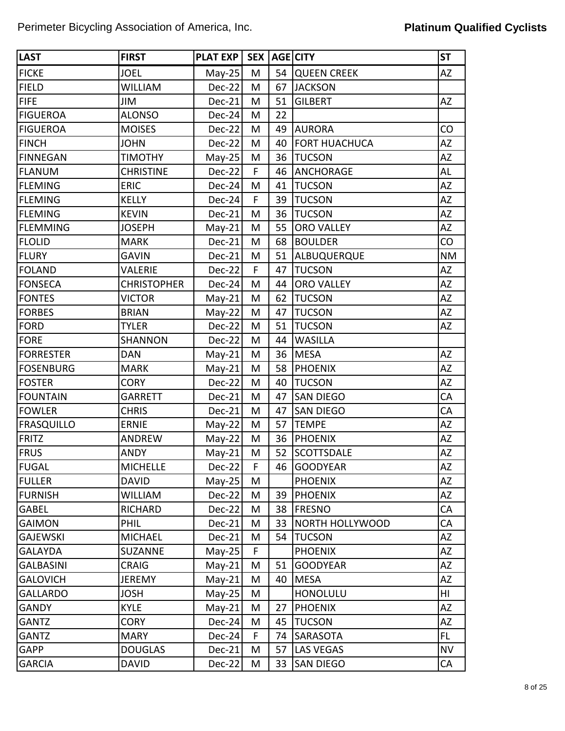| <b>LAST</b>       | <b>FIRST</b>       | PLAT EXP | <b>SEX</b> |    | <b>AGE CITY</b>        | <b>ST</b> |
|-------------------|--------------------|----------|------------|----|------------------------|-----------|
| <b>FICKE</b>      | <b>JOEL</b>        | $May-25$ | M          | 54 | <b>QUEEN CREEK</b>     | <b>AZ</b> |
| <b>FIELD</b>      | <b>WILLIAM</b>     | Dec-22   | M          | 67 | <b>JACKSON</b>         |           |
| <b>FIFE</b>       | JIM                | Dec-21   | M          | 51 | <b>GILBERT</b>         | AZ        |
| <b>FIGUEROA</b>   | <b>ALONSO</b>      | Dec-24   | M          | 22 |                        |           |
| <b>FIGUEROA</b>   | <b>MOISES</b>      | $Dec-22$ | M          | 49 | <b>AURORA</b>          | CO        |
| <b>FINCH</b>      | <b>JOHN</b>        | Dec-22   | M          | 40 | <b>FORT HUACHUCA</b>   | <b>AZ</b> |
| <b>FINNEGAN</b>   | <b>TIMOTHY</b>     | $May-25$ | M          | 36 | <b>TUCSON</b>          | <b>AZ</b> |
| <b>FLANUM</b>     | <b>CHRISTINE</b>   | $Dec-22$ | F          | 46 | <b>ANCHORAGE</b>       | AL        |
| <b>FLEMING</b>    | <b>ERIC</b>        | $Dec-24$ | M          | 41 | <b>TUCSON</b>          | <b>AZ</b> |
| <b>FLEMING</b>    | <b>KELLY</b>       | Dec-24   | F          | 39 | <b>TUCSON</b>          | <b>AZ</b> |
| <b>FLEMING</b>    | <b>KEVIN</b>       | Dec-21   | M          | 36 | <b>TUCSON</b>          | AZ        |
| <b>FLEMMING</b>   | <b>JOSEPH</b>      | $May-21$ | M          | 55 | <b>ORO VALLEY</b>      | <b>AZ</b> |
| <b>FLOLID</b>     | <b>MARK</b>        | Dec-21   | M          | 68 | <b>BOULDER</b>         | CO        |
| <b>FLURY</b>      | <b>GAVIN</b>       | Dec-21   | M          | 51 | ALBUQUERQUE            | <b>NM</b> |
| <b>FOLAND</b>     | VALERIE            | Dec-22   | F          | 47 | <b>TUCSON</b>          | AZ        |
| <b>FONSECA</b>    | <b>CHRISTOPHER</b> | $Dec-24$ | M          | 44 | <b>ORO VALLEY</b>      | AZ        |
| <b>FONTES</b>     | <b>VICTOR</b>      | $May-21$ | M          | 62 | <b>TUCSON</b>          | <b>AZ</b> |
| <b>FORBES</b>     | <b>BRIAN</b>       | $May-22$ | M          | 47 | <b>TUCSON</b>          | <b>AZ</b> |
| <b>FORD</b>       | <b>TYLER</b>       | Dec-22   | M          | 51 | <b>TUCSON</b>          | AZ        |
| <b>FORE</b>       | <b>SHANNON</b>     | $Dec-22$ | M          | 44 | <b>WASILLA</b>         |           |
| <b>FORRESTER</b>  | <b>DAN</b>         | $May-21$ | M          | 36 | <b>MESA</b>            | <b>AZ</b> |
| <b>FOSENBURG</b>  | <b>MARK</b>        | $May-21$ | M          | 58 | <b>PHOENIX</b>         | <b>AZ</b> |
| <b>FOSTER</b>     | <b>CORY</b>        | Dec-22   | M          | 40 | <b>TUCSON</b>          | <b>AZ</b> |
| <b>FOUNTAIN</b>   | <b>GARRETT</b>     | Dec-21   | M          | 47 | <b>SAN DIEGO</b>       | CA        |
| <b>FOWLER</b>     | <b>CHRIS</b>       | Dec-21   | M          | 47 | <b>SAN DIEGO</b>       | CA        |
| <b>FRASQUILLO</b> | <b>ERNIE</b>       | $May-22$ | M          | 57 | <b>TEMPE</b>           | <b>AZ</b> |
| FRITZ             | ANDREW             | $May-22$ | M          | 36 | <b>PHOENIX</b>         | <b>AZ</b> |
| <b>FRUS</b>       | <b>ANDY</b>        | $May-21$ | M          | 52 | <b>SCOTTSDALE</b>      | AZ        |
| <b>FUGAL</b>      | <b>MICHELLE</b>    | $Dec-22$ | F          |    | 46 GOODYEAR            | AZ        |
| <b>FULLER</b>     | <b>DAVID</b>       | $May-25$ | М          |    | <b>PHOENIX</b>         | AZ        |
| <b>FURNISH</b>    | <b>WILLIAM</b>     | $Dec-22$ | M          | 39 | <b>PHOENIX</b>         | AZ        |
| <b>GABEL</b>      | <b>RICHARD</b>     | $Dec-22$ | M          | 38 | <b>FRESNO</b>          | CA        |
| <b>GAIMON</b>     | <b>PHIL</b>        | $Dec-21$ | M          | 33 | <b>NORTH HOLLYWOOD</b> | CA        |
| <b>GAJEWSKI</b>   | <b>MICHAEL</b>     | $Dec-21$ | M          | 54 | <b>TUCSON</b>          | AZ        |
| <b>GALAYDA</b>    | <b>SUZANNE</b>     | $May-25$ | F          |    | <b>PHOENIX</b>         | AZ        |
| <b>GALBASINI</b>  | <b>CRAIG</b>       | $May-21$ | M          | 51 | <b>GOODYEAR</b>        | AZ        |
| <b>GALOVICH</b>   | <b>JEREMY</b>      | $May-21$ | M          | 40 | <b>MESA</b>            | AZ        |
| <b>GALLARDO</b>   | <b>JOSH</b>        | $May-25$ | M          |    | <b>HONOLULU</b>        | HI        |
| <b>GANDY</b>      | <b>KYLE</b>        | $May-21$ | M          | 27 | <b>PHOENIX</b>         | AZ        |
| <b>GANTZ</b>      | <b>CORY</b>        | $Dec-24$ | M          | 45 | <b>TUCSON</b>          | <b>AZ</b> |
| <b>GANTZ</b>      | <b>MARY</b>        | $Dec-24$ | F          | 74 | SARASOTA               | <b>FL</b> |
| <b>GAPP</b>       | <b>DOUGLAS</b>     | $Dec-21$ | M          | 57 | <b>LAS VEGAS</b>       | <b>NV</b> |
| <b>GARCIA</b>     | <b>DAVID</b>       | $Dec-22$ | M          | 33 | <b>SAN DIEGO</b>       | CA        |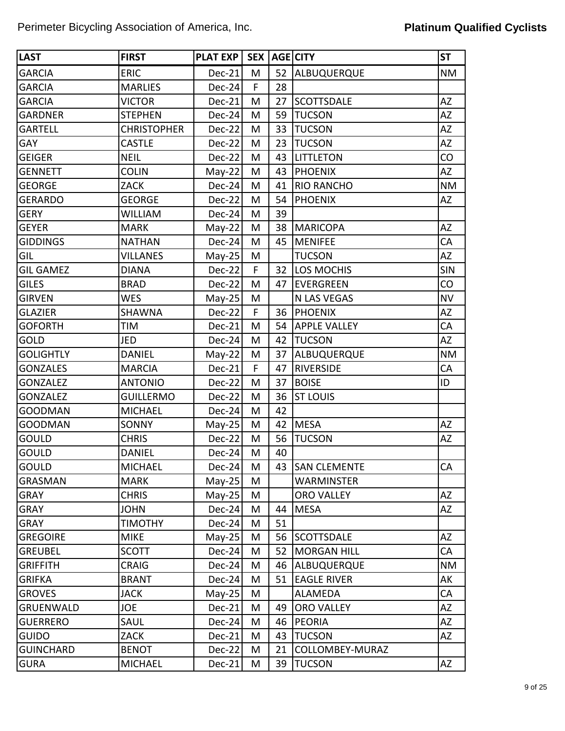| <b>LAST</b>      | <b>FIRST</b>       | <b>PLAT EXP</b> | <b>SEX</b> |    | AGE CITY            | <b>ST</b>  |
|------------------|--------------------|-----------------|------------|----|---------------------|------------|
| <b>GARCIA</b>    | <b>ERIC</b>        | Dec-21          | M          | 52 | ALBUQUERQUE         | <b>NM</b>  |
| <b>GARCIA</b>    | <b>MARLIES</b>     | Dec-24          | F          | 28 |                     |            |
| <b>GARCIA</b>    | <b>VICTOR</b>      | Dec-21          | M          | 27 | <b>SCOTTSDALE</b>   | <b>AZ</b>  |
| <b>GARDNER</b>   | <b>STEPHEN</b>     | Dec-24          | M          | 59 | <b>TUCSON</b>       | AZ         |
| <b>GARTELL</b>   | <b>CHRISTOPHER</b> | Dec-22          | M          | 33 | <b>TUCSON</b>       | AZ         |
| <b>GAY</b>       | <b>CASTLE</b>      | Dec-22          | M          | 23 | <b>TUCSON</b>       | <b>AZ</b>  |
| <b>GEIGER</b>    | <b>NEIL</b>        | Dec-22          | M          | 43 | <b>LITTLETON</b>    | CO         |
| <b>GENNETT</b>   | <b>COLIN</b>       | $May-22$        | M          | 43 | <b>PHOENIX</b>      | <b>AZ</b>  |
| <b>GEORGE</b>    | <b>ZACK</b>        | Dec-24          | M          | 41 | <b>RIO RANCHO</b>   | <b>NM</b>  |
| <b>GERARDO</b>   | <b>GEORGE</b>      | Dec-22          | M          | 54 | <b>PHOENIX</b>      | AZ         |
| <b>GERY</b>      | WILLIAM            | Dec-24          | M          | 39 |                     |            |
| <b>GEYER</b>     | <b>MARK</b>        | $May-22$        | M          | 38 | <b>MARICOPA</b>     | <b>AZ</b>  |
| <b>GIDDINGS</b>  | <b>NATHAN</b>      | Dec-24          | M          | 45 | <b>MENIFEE</b>      | CA         |
| GIL              | <b>VILLANES</b>    | $May-25$        | M          |    | <b>TUCSON</b>       | <b>AZ</b>  |
| <b>GIL GAMEZ</b> | <b>DIANA</b>       | Dec-22          | F          | 32 | <b>LOS MOCHIS</b>   | <b>SIN</b> |
| <b>GILES</b>     | <b>BRAD</b>        | Dec-22          | M          | 47 | <b>EVERGREEN</b>    | CO         |
| <b>GIRVEN</b>    | <b>WES</b>         | $May-25$        | M          |    | N LAS VEGAS         | <b>NV</b>  |
| <b>GLAZIER</b>   | <b>SHAWNA</b>      | Dec-22          | F          | 36 | <b>PHOENIX</b>      | AZ         |
| <b>GOFORTH</b>   | TIM                | Dec-21          | M          | 54 | <b>APPLE VALLEY</b> | CA         |
| GOLD             | JED                | Dec-24          | M          | 42 | <b>TUCSON</b>       | <b>AZ</b>  |
| <b>GOLIGHTLY</b> | <b>DANIEL</b>      | $May-22$        | M          | 37 | ALBUQUERQUE         | <b>NM</b>  |
| <b>GONZALES</b>  | <b>MARCIA</b>      | Dec-21          | F          | 47 | <b>RIVERSIDE</b>    | CA         |
| <b>GONZALEZ</b>  | <b>ANTONIO</b>     | Dec-22          | M          | 37 | <b>BOISE</b>        | ID         |
| <b>GONZALEZ</b>  | <b>GUILLERMO</b>   | Dec-22          | M          | 36 | <b>ST LOUIS</b>     |            |
| <b>GOODMAN</b>   | <b>MICHAEL</b>     | Dec-24          | M          | 42 |                     |            |
| <b>GOODMAN</b>   | SONNY              | $May-25$        | M          | 42 | <b>MESA</b>         | AZ         |
| <b>GOULD</b>     | <b>CHRIS</b>       | Dec-22          | M          | 56 | <b>TUCSON</b>       | AZ         |
| <b>GOULD</b>     | <b>DANIEL</b>      | Dec-24          | M          | 40 |                     |            |
| <b>GOULD</b>     | <b>MICHAEL</b>     | $Dec-24$        | M          | 43 | <b>SAN CLEMENTE</b> | CA         |
| <b>GRASMAN</b>   | <b>MARK</b>        | $May-25$        | M          |    | <b>WARMINSTER</b>   |            |
| <b>GRAY</b>      | <b>CHRIS</b>       | $May-25$        | M          |    | <b>ORO VALLEY</b>   | <b>AZ</b>  |
| <b>GRAY</b>      | <b>JOHN</b>        | $Dec-24$        | M          | 44 | <b>MESA</b>         | AZ         |
| <b>GRAY</b>      | <b>TIMOTHY</b>     | Dec-24          | Μ          | 51 |                     |            |
| <b>GREGOIRE</b>  | <b>MIKE</b>        | $May-25$        | M          | 56 | <b>SCOTTSDALE</b>   | <b>AZ</b>  |
| <b>GREUBEL</b>   | <b>SCOTT</b>       | Dec-24          | M          | 52 | <b>MORGAN HILL</b>  | CA         |
| <b>GRIFFITH</b>  | <b>CRAIG</b>       | Dec-24          | M          | 46 | ALBUQUERQUE         | <b>NM</b>  |
| <b>GRIFKA</b>    | <b>BRANT</b>       | Dec-24          | Μ          | 51 | <b>EAGLE RIVER</b>  | AK         |
| <b>GROVES</b>    | <b>JACK</b>        | $May-25$        | M          |    | ALAMEDA             | CA         |
| <b>GRUENWALD</b> | JOE                | Dec-21          | M          | 49 | <b>ORO VALLEY</b>   | AZ         |
| <b>GUERRERO</b>  | SAUL               | Dec-24          | M          | 46 | <b>PEORIA</b>       | <b>AZ</b>  |
| <b>GUIDO</b>     | ZACK               | Dec-21          | Μ          | 43 | <b>TUCSON</b>       | AZ         |
| <b>GUINCHARD</b> | <b>BENOT</b>       | Dec-22          | Μ          | 21 | COLLOMBEY-MURAZ     |            |
| <b>GURA</b>      | <b>MICHAEL</b>     | Dec-21          | M          | 39 | <b>TUCSON</b>       | AZ         |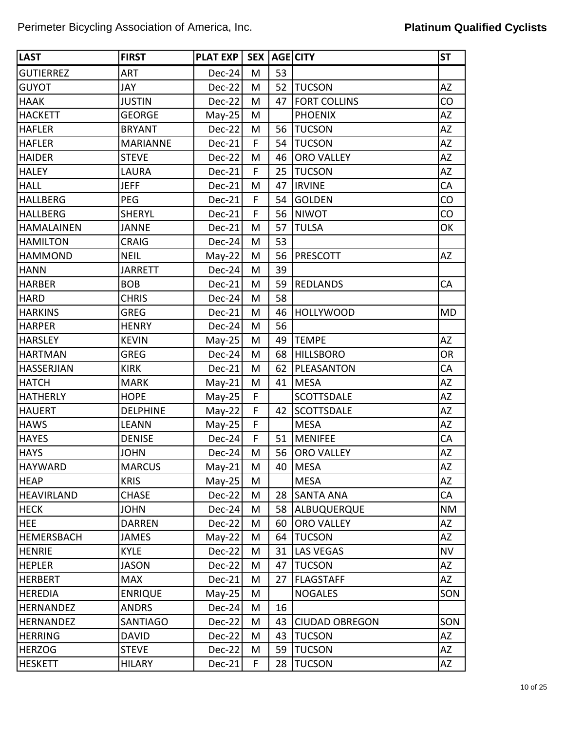| <b>LAST</b>       | <b>FIRST</b>    | <b>PLAT EXP</b> | <b>SEX</b> |    | AGE CITY              | <b>ST</b> |
|-------------------|-----------------|-----------------|------------|----|-----------------------|-----------|
| <b>GUTIERREZ</b>  | <b>ART</b>      | $Dec-24$        | M          | 53 |                       |           |
| <b>GUYOT</b>      | JAY             | Dec-22          | M          | 52 | <b>TUCSON</b>         | <b>AZ</b> |
| <b>HAAK</b>       | <b>JUSTIN</b>   | $Dec-22$        | M          | 47 | <b>FORT COLLINS</b>   | CO        |
| <b>HACKETT</b>    | <b>GEORGE</b>   | $May-25$        | M          |    | <b>PHOENIX</b>        | AZ        |
| <b>HAFLER</b>     | <b>BRYANT</b>   | $Dec-22$        | M          | 56 | <b>TUCSON</b>         | AZ        |
| <b>HAFLER</b>     | <b>MARIANNE</b> | Dec-21          | F          | 54 | <b>TUCSON</b>         | AZ        |
| <b>HAIDER</b>     | <b>STEVE</b>    | Dec-22          | M          | 46 | <b>ORO VALLEY</b>     | AZ        |
| <b>HALEY</b>      | <b>LAURA</b>    | Dec-21          | F          | 25 | <b>TUCSON</b>         | <b>AZ</b> |
| <b>HALL</b>       | <b>JEFF</b>     | Dec-21          | M          | 47 | <b>IRVINE</b>         | CA        |
| <b>HALLBERG</b>   | PEG             | Dec-21          | F          | 54 | <b>GOLDEN</b>         | CO        |
| <b>HALLBERG</b>   | <b>SHERYL</b>   | Dec-21          | F          | 56 | <b>NIWOT</b>          | CO        |
| <b>HAMALAINEN</b> | <b>JANNE</b>    | Dec-21          | M          | 57 | <b>TULSA</b>          | OK        |
| <b>HAMILTON</b>   | <b>CRAIG</b>    | Dec-24          | M          | 53 |                       |           |
| <b>HAMMOND</b>    | <b>NEIL</b>     | $May-22$        | M          | 56 | <b>PRESCOTT</b>       | <b>AZ</b> |
| <b>HANN</b>       | <b>JARRETT</b>  | Dec-24          | M          | 39 |                       |           |
| <b>HARBER</b>     | <b>BOB</b>      | Dec-21          | M          | 59 | <b>REDLANDS</b>       | CA        |
| <b>HARD</b>       | <b>CHRIS</b>    | Dec-24          | M          | 58 |                       |           |
| <b>HARKINS</b>    | <b>GREG</b>     | Dec-21          | M          | 46 | <b>HOLLYWOOD</b>      | MD        |
| <b>HARPER</b>     | <b>HENRY</b>    | Dec-24          | M          | 56 |                       |           |
| <b>HARSLEY</b>    | <b>KEVIN</b>    | $May-25$        | M          | 49 | <b>TEMPE</b>          | AZ        |
| <b>HARTMAN</b>    | <b>GREG</b>     | $Dec-24$        | M          | 68 | <b>HILLSBORO</b>      | <b>OR</b> |
| <b>HASSERJIAN</b> | <b>KIRK</b>     | Dec-21          | M          | 62 | PLEASANTON            | CA        |
| <b>HATCH</b>      | <b>MARK</b>     | $May-21$        | M          | 41 | <b>MESA</b>           | <b>AZ</b> |
| <b>HATHERLY</b>   | <b>HOPE</b>     | $May-25$        | F          |    | <b>SCOTTSDALE</b>     | ΑZ        |
| <b>HAUERT</b>     | <b>DELPHINE</b> | $May-22$        | F          | 42 | <b>SCOTTSDALE</b>     | AZ        |
| <b>HAWS</b>       | <b>LEANN</b>    | $May-25$        | F          |    | <b>MESA</b>           | AZ        |
| <b>HAYES</b>      | <b>DENISE</b>   | $Dec-24$        | F          | 51 | <b>MENIFEE</b>        | CA        |
| <b>HAYS</b>       | <b>JOHN</b>     | Dec-24          | M          | 56 | <b>ORO VALLEY</b>     | AZ        |
| <b>HAYWARD</b>    | <b>MARCUS</b>   | $May-21$        | M          | 40 | <b>MESA</b>           | AZ        |
| <b>HEAP</b>       | <b>KRIS</b>     | $May-25$        | M          |    | <b>MESA</b>           | AZ        |
| <b>HEAVIRLAND</b> | <b>CHASE</b>    | $Dec-22$        | M          | 28 | <b>SANTA ANA</b>      | CA        |
| <b>HECK</b>       | <b>JOHN</b>     | $Dec-24$        | M          | 58 | ALBUQUERQUE           | <b>NM</b> |
| <b>HEE</b>        | <b>DARREN</b>   | $Dec-22$        | M          | 60 | <b>ORO VALLEY</b>     | AZ        |
| <b>HEMERSBACH</b> | <b>JAMES</b>    | $May-22$        | M          | 64 | <b>TUCSON</b>         | AZ        |
| <b>HENRIE</b>     | <b>KYLE</b>     | Dec-22          | M          | 31 | <b>LAS VEGAS</b>      | <b>NV</b> |
| <b>HEPLER</b>     | <b>JASON</b>    | $Dec-22$        | M          | 47 | <b>TUCSON</b>         | AZ        |
| <b>HERBERT</b>    | <b>MAX</b>      | Dec-21          | M          | 27 | <b>FLAGSTAFF</b>      | AZ        |
| <b>HEREDIA</b>    | <b>ENRIQUE</b>  | $May-25$        | M          |    | <b>NOGALES</b>        | SON       |
| <b>HERNANDEZ</b>  | <b>ANDRS</b>    | $Dec-24$        | M          | 16 |                       |           |
| <b>HERNANDEZ</b>  | SANTIAGO        | $Dec-22$        | M          | 43 | <b>CIUDAD OBREGON</b> | SON       |
| <b>HERRING</b>    | <b>DAVID</b>    | $Dec-22$        | M          | 43 | <b>TUCSON</b>         | AZ        |
| <b>HERZOG</b>     | <b>STEVE</b>    | $Dec-22$        | M          | 59 | <b>TUCSON</b>         | AZ        |
| <b>HESKETT</b>    | <b>HILARY</b>   | Dec-21          | F.         | 28 | <b>TUCSON</b>         | AZ        |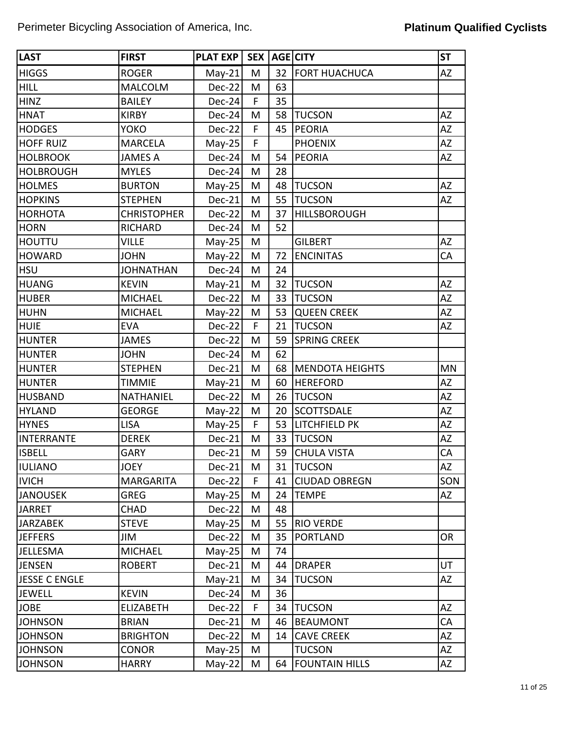| <b>LAST</b>          | <b>FIRST</b>       | PLAT EXP   SEX   AGE CITY |   |    |                        | <b>ST</b> |
|----------------------|--------------------|---------------------------|---|----|------------------------|-----------|
| <b>HIGGS</b>         | <b>ROGER</b>       | $May-21$                  | M | 32 | <b>FORT HUACHUCA</b>   | <b>AZ</b> |
| <b>HILL</b>          | <b>MALCOLM</b>     | Dec-22                    | M | 63 |                        |           |
| <b>HINZ</b>          | <b>BAILEY</b>      | Dec-24                    | F | 35 |                        |           |
| <b>HNAT</b>          | <b>KIRBY</b>       | Dec-24                    | M | 58 | <b>TUCSON</b>          | <b>AZ</b> |
| <b>HODGES</b>        | <b>YOKO</b>        | Dec-22                    | F | 45 | PEORIA                 | ΑZ        |
| <b>HOFF RUIZ</b>     | <b>MARCELA</b>     | $May-25$                  | F |    | <b>PHOENIX</b>         | ΑZ        |
| <b>HOLBROOK</b>      | <b>JAMES A</b>     | Dec-24                    | M | 54 | <b>PEORIA</b>          | ΑZ        |
| <b>HOLBROUGH</b>     | <b>MYLES</b>       | Dec-24                    | M | 28 |                        |           |
| <b>HOLMES</b>        | <b>BURTON</b>      | $May-25$                  | M | 48 | <b>TUCSON</b>          | AZ        |
| <b>HOPKINS</b>       | <b>STEPHEN</b>     | Dec-21                    | M | 55 | <b>TUCSON</b>          | AZ        |
| <b>HORHOTA</b>       | <b>CHRISTOPHER</b> | Dec-22                    | M | 37 | <b>HILLSBOROUGH</b>    |           |
| <b>HORN</b>          | <b>RICHARD</b>     | Dec-24                    | M | 52 |                        |           |
| <b>HOUTTU</b>        | <b>VILLE</b>       | $May-25$                  | M |    | <b>GILBERT</b>         | AZ        |
| <b>HOWARD</b>        | <b>JOHN</b>        | $May-22$                  | M | 72 | <b>ENCINITAS</b>       | CA        |
| <b>HSU</b>           | <b>JOHNATHAN</b>   | Dec-24                    | M | 24 |                        |           |
| <b>HUANG</b>         | <b>KEVIN</b>       | $May-21$                  | M | 32 | <b>TUCSON</b>          | ΑZ        |
| <b>HUBER</b>         | <b>MICHAEL</b>     | Dec-22                    | M | 33 | <b>TUCSON</b>          | AZ        |
| <b>HUHN</b>          | <b>MICHAEL</b>     | $May-22$                  | M | 53 | <b>QUEEN CREEK</b>     | ΑZ        |
| <b>HUIE</b>          | <b>EVA</b>         | Dec-22                    | F | 21 | <b>TUCSON</b>          | AZ        |
| <b>HUNTER</b>        | <b>JAMES</b>       | Dec-22                    | M | 59 | <b>SPRING CREEK</b>    |           |
| <b>HUNTER</b>        | <b>JOHN</b>        | Dec-24                    | M | 62 |                        |           |
| <b>HUNTER</b>        | <b>STEPHEN</b>     | Dec-21                    | M | 68 | <b>MENDOTA HEIGHTS</b> | <b>MN</b> |
| <b>HUNTER</b>        | <b>TIMMIE</b>      | $May-21$                  | M | 60 | <b>HEREFORD</b>        | AZ        |
| <b>HUSBAND</b>       | <b>NATHANIEL</b>   | Dec-22                    | M | 26 | <b>TUCSON</b>          | ΑZ        |
| <b>HYLAND</b>        | <b>GEORGE</b>      | $May-22$                  | M | 20 | <b>SCOTTSDALE</b>      | AZ        |
| <b>HYNES</b>         | <b>LISA</b>        | $May-25$                  | F | 53 | <b>LITCHFIELD PK</b>   | ΑZ        |
| <b>INTERRANTE</b>    | <b>DEREK</b>       | Dec-21                    | M | 33 | <b>TUCSON</b>          | ΑZ        |
| <b>ISBELL</b>        | <b>GARY</b>        | Dec-21                    | M | 59 | <b>CHULA VISTA</b>     | CA        |
| IULIANO              | <b>JOEY</b>        | $Dec-21$                  | M | 31 | <b>TUCSON</b>          | <b>AZ</b> |
| <b>IVICH</b>         | <b>MARGARITA</b>   | Dec-22                    | F | 41 | <b>CIUDAD OBREGN</b>   | SON       |
| <b>JANOUSEK</b>      | <b>GREG</b>        | $May-25$                  | M | 24 | <b>TEMPE</b>           | AZ        |
| <b>JARRET</b>        | <b>CHAD</b>        | Dec-22                    | M | 48 |                        |           |
| <b>JARZABEK</b>      | <b>STEVE</b>       | $May-25$                  | M | 55 | <b>RIO VERDE</b>       |           |
| <b>JEFFERS</b>       | JIM                | Dec-22                    | M | 35 | <b>PORTLAND</b>        | <b>OR</b> |
| <b>JELLESMA</b>      | <b>MICHAEL</b>     | $May-25$                  | M | 74 |                        |           |
| <b>JENSEN</b>        | <b>ROBERT</b>      | $Dec-21$                  | M | 44 | <b>DRAPER</b>          | UT        |
| <b>JESSE C ENGLE</b> |                    | $May-21$                  | M | 34 | <b>TUCSON</b>          | AZ        |
| <b>JEWELL</b>        | <b>KEVIN</b>       | $Dec-24$                  | M | 36 |                        |           |
| <b>JOBE</b>          | <b>ELIZABETH</b>   | Dec-22                    | F | 34 | <b>TUCSON</b>          | <b>AZ</b> |
| <b>JOHNSON</b>       | <b>BRIAN</b>       | $Dec-21$                  | M | 46 | <b>BEAUMONT</b>        | CA        |
| <b>JOHNSON</b>       | <b>BRIGHTON</b>    | Dec-22                    | M | 14 | <b>CAVE CREEK</b>      | AZ        |
| <b>JOHNSON</b>       | <b>CONOR</b>       | $May-25$                  | M |    | <b>TUCSON</b>          | AZ        |
| <b>JOHNSON</b>       | <b>HARRY</b>       | $May-22$                  | M | 64 | <b>FOUNTAIN HILLS</b>  | AZ        |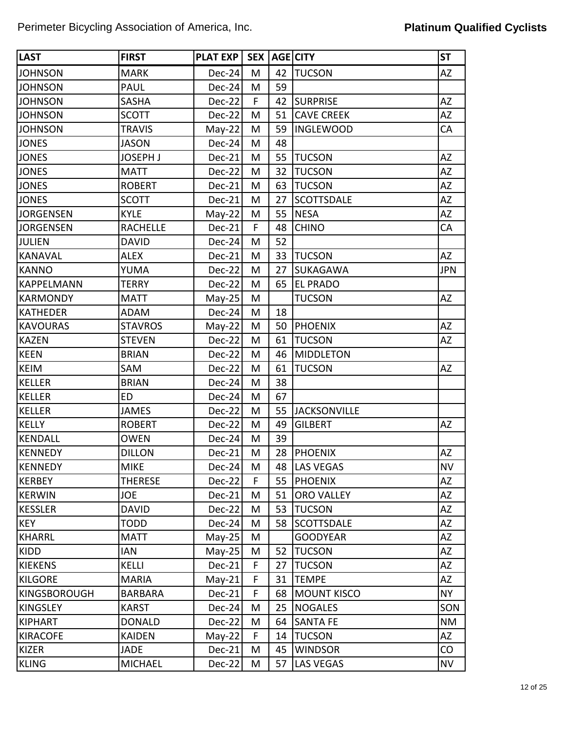| <b>LAST</b>         | <b>FIRST</b>    | PLAT EXP | SEX <sup>1</sup> |    | AGE CITY            | <b>ST</b>  |
|---------------------|-----------------|----------|------------------|----|---------------------|------------|
| <b>JOHNSON</b>      | <b>MARK</b>     | Dec-24   | M                | 42 | <b>TUCSON</b>       | AZ         |
| <b>JOHNSON</b>      | PAUL            | Dec-24   | M                | 59 |                     |            |
| <b>JOHNSON</b>      | <b>SASHA</b>    | Dec-22   | F                | 42 | <b>SURPRISE</b>     | <b>AZ</b>  |
| <b>JOHNSON</b>      | <b>SCOTT</b>    | Dec-22   | M                | 51 | <b>CAVE CREEK</b>   | <b>AZ</b>  |
| <b>JOHNSON</b>      | <b>TRAVIS</b>   | $May-22$ | M                | 59 | <b>INGLEWOOD</b>    | CA         |
| <b>JONES</b>        | <b>JASON</b>    | Dec-24   | M                | 48 |                     |            |
| <b>JONES</b>        | <b>JOSEPH J</b> | Dec-21   | M                | 55 | <b>TUCSON</b>       | <b>AZ</b>  |
| <b>JONES</b>        | <b>MATT</b>     | Dec-22   | M                | 32 | <b>TUCSON</b>       | AZ         |
| <b>JONES</b>        | <b>ROBERT</b>   | Dec-21   | M                | 63 | <b>TUCSON</b>       | AZ         |
| <b>JONES</b>        | <b>SCOTT</b>    | Dec-21   | M                | 27 | <b>SCOTTSDALE</b>   | AZ         |
| <b>JORGENSEN</b>    | <b>KYLE</b>     | $May-22$ | M                | 55 | <b>NESA</b>         | AZ         |
| <b>JORGENSEN</b>    | <b>RACHELLE</b> | Dec-21   | F                | 48 | <b>CHINO</b>        | CA         |
| <b>JULIEN</b>       | <b>DAVID</b>    | Dec-24   | M                | 52 |                     |            |
| <b>KANAVAL</b>      | <b>ALEX</b>     | Dec-21   | M                | 33 | <b>TUCSON</b>       | AZ         |
| <b>KANNO</b>        | YUMA            | Dec-22   | M                | 27 | SUKAGAWA            | <b>JPN</b> |
| <b>KAPPELMANN</b>   | <b>TERRY</b>    | Dec-22   | M                | 65 | <b>EL PRADO</b>     |            |
| <b>KARMONDY</b>     | <b>MATT</b>     | $May-25$ | M                |    | <b>TUCSON</b>       | AZ         |
| <b>KATHEDER</b>     | <b>ADAM</b>     | Dec-24   | M                | 18 |                     |            |
| <b>KAVOURAS</b>     | <b>STAVROS</b>  | $May-22$ | M                | 50 | <b>PHOENIX</b>      | AZ         |
| <b>KAZEN</b>        | <b>STEVEN</b>   | Dec-22   | M                | 61 | <b>TUCSON</b>       | AZ         |
| <b>KEEN</b>         | <b>BRIAN</b>    | Dec-22   | M                | 46 | <b>MIDDLETON</b>    |            |
| <b>KEIM</b>         | SAM             | Dec-22   | M                | 61 | <b>TUCSON</b>       | <b>AZ</b>  |
| <b>KELLER</b>       | <b>BRIAN</b>    | Dec-24   | M                | 38 |                     |            |
| <b>KELLER</b>       | <b>ED</b>       | Dec-24   | M                | 67 |                     |            |
| <b>KELLER</b>       | <b>JAMES</b>    | Dec-22   | M                | 55 | <b>JACKSONVILLE</b> |            |
| <b>KELLY</b>        | <b>ROBERT</b>   | Dec-22   | M                | 49 | <b>GILBERT</b>      | AZ         |
| <b>KENDALL</b>      | <b>OWEN</b>     | Dec-24   | M                | 39 |                     |            |
| <b>KENNEDY</b>      | <b>DILLON</b>   | Dec-21   | M                | 28 | <b>PHOENIX</b>      | AZ         |
| KENNEDY             | <b>MIKE</b>     | $Dec-24$ | M                | 48 | <b>LAS VEGAS</b>    | <b>NV</b>  |
| <b>KERBEY</b>       | THERESE         | Dec-22   | F                | 55 | <b>PHOENIX</b>      | AZ         |
| KERWIN              | <b>JOE</b>      | Dec-21   | M                | 51 | <b>ORO VALLEY</b>   | AZ         |
| <b>KESSLER</b>      | <b>DAVID</b>    | Dec-22   | M                | 53 | <b>TUCSON</b>       | AZ         |
| <b>KEY</b>          | TODD            | Dec-24   | M                | 58 | <b>SCOTTSDALE</b>   | AZ         |
| <b>KHARRL</b>       | <b>MATT</b>     | $May-25$ | Μ                |    | <b>GOODYEAR</b>     | AZ         |
| <b>KIDD</b>         | <b>IAN</b>      | $May-25$ | M                | 52 | <b>TUCSON</b>       | AZ         |
| <b>KIEKENS</b>      | KELLI           | Dec-21   | F                | 27 | <b>TUCSON</b>       | AZ         |
| <b>KILGORE</b>      | <b>MARIA</b>    | $May-21$ | F                | 31 | <b>TEMPE</b>        | AZ         |
| <b>KINGSBOROUGH</b> | <b>BARBARA</b>  | Dec-21   | F                | 68 | <b>MOUNT KISCO</b>  | <b>NY</b>  |
| <b>KINGSLEY</b>     | <b>KARST</b>    | Dec-24   | Μ                | 25 | <b>NOGALES</b>      | SON        |
| <b>KIPHART</b>      | <b>DONALD</b>   | Dec-22   | M                | 64 | <b>SANTA FE</b>     | <b>NM</b>  |
| <b>KIRACOFE</b>     | <b>KAIDEN</b>   | $May-22$ | F                | 14 | <b>TUCSON</b>       | AZ         |
| <b>KIZER</b>        | <b>JADE</b>     | Dec-21   | M                | 45 | <b>WINDSOR</b>      | CO         |
| <b>KLING</b>        | <b>MICHAEL</b>  | Dec-22   | M                | 57 | <b>LAS VEGAS</b>    | <b>NV</b>  |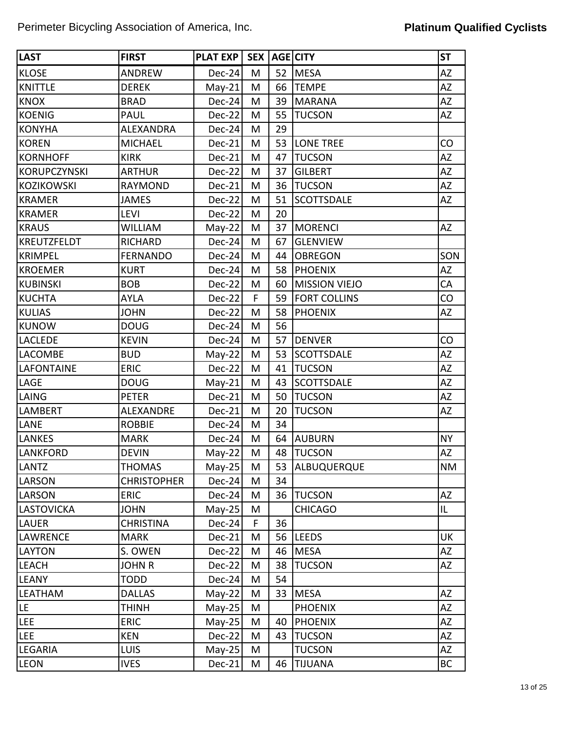| <b>LAST</b>         | <b>FIRST</b>       | <b>PLAT EXP</b> | SEX <sup>1</sup> |    | AGE CITY             | <b>ST</b> |
|---------------------|--------------------|-----------------|------------------|----|----------------------|-----------|
| <b>KLOSE</b>        | <b>ANDREW</b>      | Dec-24          | M                | 52 | <b>MESA</b>          | AZ        |
| <b>KNITTLE</b>      | <b>DEREK</b>       | $May-21$        | M                | 66 | <b>TEMPE</b>         | ΑZ        |
| <b>KNOX</b>         | <b>BRAD</b>        | Dec-24          | M                | 39 | <b>MARANA</b>        | AZ        |
| <b>KOENIG</b>       | <b>PAUL</b>        | Dec-22          | M                | 55 | <b>TUCSON</b>        | AZ        |
| <b>KONYHA</b>       | <b>ALEXANDRA</b>   | Dec-24          | M                | 29 |                      |           |
| <b>KOREN</b>        | <b>MICHAEL</b>     | Dec-21          | M                | 53 | <b>LONE TREE</b>     | CO        |
| <b>KORNHOFF</b>     | <b>KIRK</b>        | Dec-21          | M                | 47 | <b>TUCSON</b>        | AZ        |
| <b>KORUPCZYNSKI</b> | <b>ARTHUR</b>      | Dec-22          | M                | 37 | <b>GILBERT</b>       | AZ        |
| <b>KOZIKOWSKI</b>   | <b>RAYMOND</b>     | Dec-21          | M                | 36 | <b>TUCSON</b>        | AZ        |
| <b>KRAMER</b>       | <b>JAMES</b>       | Dec-22          | M                | 51 | <b>SCOTTSDALE</b>    | AZ        |
| <b>KRAMER</b>       | <b>LEVI</b>        | Dec-22          | M                | 20 |                      |           |
| <b>KRAUS</b>        | <b>WILLIAM</b>     | $May-22$        | M                | 37 | <b>MORENCI</b>       | <b>AZ</b> |
| <b>KREUTZFELDT</b>  | <b>RICHARD</b>     | Dec-24          | M                | 67 | <b>GLENVIEW</b>      |           |
| <b>KRIMPEL</b>      | <b>FERNANDO</b>    | Dec-24          | M                | 44 | <b>OBREGON</b>       | SON       |
| <b>KROEMER</b>      | <b>KURT</b>        | Dec-24          | M                | 58 | <b>PHOENIX</b>       | <b>AZ</b> |
| <b>KUBINSKI</b>     | <b>BOB</b>         | Dec-22          | M                | 60 | <b>MISSION VIEJO</b> | CA        |
| <b>KUCHTA</b>       | <b>AYLA</b>        | $Dec-22$        | F                | 59 | <b>FORT COLLINS</b>  | CO        |
| <b>KULIAS</b>       | <b>JOHN</b>        | Dec-22          | M                | 58 | <b>PHOENIX</b>       | AZ        |
| <b>KUNOW</b>        | <b>DOUG</b>        | Dec-24          | M                | 56 |                      |           |
| <b>LACLEDE</b>      | <b>KEVIN</b>       | Dec-24          | M                | 57 | <b>DENVER</b>        | CO        |
| <b>LACOMBE</b>      | <b>BUD</b>         | $May-22$        | M                | 53 | <b>SCOTTSDALE</b>    | <b>AZ</b> |
| <b>LAFONTAINE</b>   | <b>ERIC</b>        | Dec-22          | M                | 41 | <b>TUCSON</b>        | AZ        |
| LAGE                | <b>DOUG</b>        | $May-21$        | M                | 43 | <b>SCOTTSDALE</b>    | AZ        |
| LAING               | <b>PETER</b>       | Dec-21          | M                | 50 | <b>TUCSON</b>        | AZ        |
| <b>LAMBERT</b>      | ALEXANDRE          | Dec-21          | M                | 20 | <b>TUCSON</b>        | <b>AZ</b> |
| LANE                | <b>ROBBIE</b>      | Dec-24          | M                | 34 |                      |           |
| <b>LANKES</b>       | <b>MARK</b>        | $Dec-24$        | M                | 64 | <b>AUBURN</b>        | <b>NY</b> |
| <b>LANKFORD</b>     | <b>DEVIN</b>       | $May-22$        | M                | 48 | <b>TUCSON</b>        | AZ        |
| <b>LANTZ</b>        | <b>THOMAS</b>      | $May-25$        | M                | 53 | <b>ALBUQUERQUE</b>   | <b>NM</b> |
| LARSON              | <b>CHRISTOPHER</b> | $Dec-24$        | M                | 34 |                      |           |
| LARSON              | <b>ERIC</b>        | Dec-24          | M                | 36 | <b>TUCSON</b>        | <b>AZ</b> |
| <b>LASTOVICKA</b>   | <b>JOHN</b>        | $May-25$        | M                |    | <b>CHICAGO</b>       | IL        |
| <b>LAUER</b>        | <b>CHRISTINA</b>   | Dec-24          | F                | 36 |                      |           |
| <b>LAWRENCE</b>     | <b>MARK</b>        | Dec-21          | M                | 56 | <b>LEEDS</b>         | UK        |
| <b>LAYTON</b>       | S. OWEN            | Dec-22          | M                | 46 | <b>MESA</b>          | AZ        |
| <b>LEACH</b>        | <b>JOHN R</b>      | Dec-22          | M                | 38 | <b>TUCSON</b>        | AZ        |
| <b>LEANY</b>        | <b>TODD</b>        | Dec-24          | M                | 54 |                      |           |
| <b>LEATHAM</b>      | <b>DALLAS</b>      | $May-22$        | M                | 33 | <b>MESA</b>          | <b>AZ</b> |
| LE.                 | <b>THINH</b>       | $May-25$        | M                |    | <b>PHOENIX</b>       | AZ        |
| LEE                 | <b>ERIC</b>        | $May-25$        | M                | 40 | <b>PHOENIX</b>       | AZ        |
| <b>LEE</b>          | <b>KEN</b>         | Dec-22          | M                | 43 | <b>TUCSON</b>        | AZ        |
| <b>LEGARIA</b>      | <b>LUIS</b>        | $May-25$        | M                |    | <b>TUCSON</b>        | AZ        |
| <b>LEON</b>         | <b>IVES</b>        | $Dec-21$        | M                | 46 | <b>TIJUANA</b>       | BC        |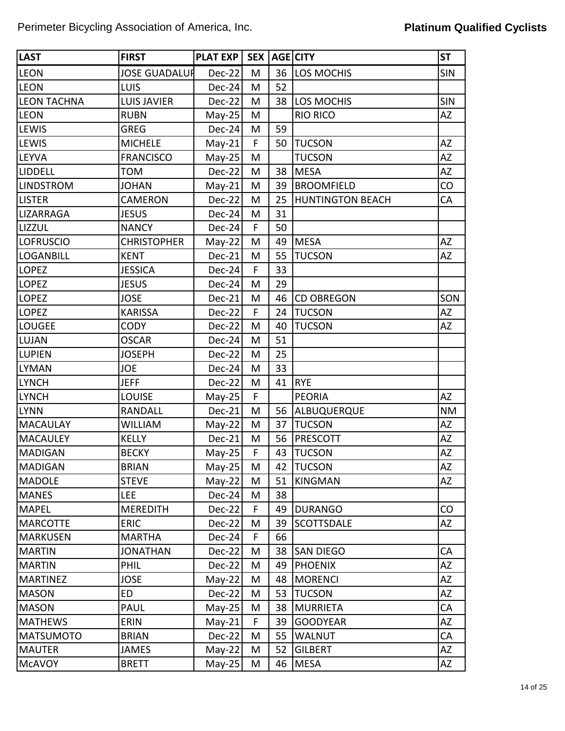| <b>LAST</b>        | <b>FIRST</b>         | <b>PLAT EXP</b> | SEX <sup>1</sup> |    | AGE CITY                | <b>ST</b>  |
|--------------------|----------------------|-----------------|------------------|----|-------------------------|------------|
| <b>LEON</b>        | <b>JOSE GUADALUR</b> | Dec-22          | M                | 36 | <b>LOS MOCHIS</b>       | <b>SIN</b> |
| <b>LEON</b>        | LUIS                 | Dec-24          | M                | 52 |                         |            |
| <b>LEON TACHNA</b> | <b>LUIS JAVIER</b>   | Dec-22          | M                | 38 | LOS MOCHIS              | <b>SIN</b> |
| <b>LEON</b>        | <b>RUBN</b>          | $May-25$        | M                |    | <b>RIO RICO</b>         | AZ         |
| <b>LEWIS</b>       | <b>GREG</b>          | Dec-24          | M                | 59 |                         |            |
| <b>LEWIS</b>       | <b>MICHELE</b>       | $May-21$        | F                | 50 | <b>TUCSON</b>           | <b>AZ</b>  |
| <b>LEYVA</b>       | <b>FRANCISCO</b>     | May-25          | M                |    | <b>TUCSON</b>           | AZ         |
| <b>LIDDELL</b>     | TOM                  | Dec-22          | M                | 38 | <b>MESA</b>             | AZ         |
| <b>LINDSTROM</b>   | <b>JOHAN</b>         | $May-21$        | M                | 39 | <b>BROOMFIELD</b>       | CO         |
| <b>LISTER</b>      | CAMERON              | Dec-22          | M                | 25 | <b>HUNTINGTON BEACH</b> | CA         |
| LIZARRAGA          | <b>JESUS</b>         | Dec-24          | M                | 31 |                         |            |
| <b>LIZZUL</b>      | <b>NANCY</b>         | Dec-24          | F                | 50 |                         |            |
| LOFRUSCIO          | <b>CHRISTOPHER</b>   | $May-22$        | M                | 49 | <b>MESA</b>             | AZ         |
| <b>LOGANBILL</b>   | <b>KENT</b>          | Dec-21          | M                | 55 | <b>TUCSON</b>           | <b>AZ</b>  |
| <b>LOPEZ</b>       | <b>JESSICA</b>       | Dec-24          | F                | 33 |                         |            |
| <b>LOPEZ</b>       | <b>JESUS</b>         | Dec-24          | M                | 29 |                         |            |
| <b>LOPEZ</b>       | <b>JOSE</b>          | Dec-21          | M                | 46 | <b>CD OBREGON</b>       | SON        |
| LOPEZ              | <b>KARISSA</b>       | Dec-22          | F                | 24 | <b>TUCSON</b>           | AZ         |
| <b>LOUGEE</b>      | <b>CODY</b>          | Dec-22          | M                | 40 | <b>TUCSON</b>           | <b>AZ</b>  |
| LUJAN              | <b>OSCAR</b>         | Dec-24          | M                | 51 |                         |            |
| <b>LUPIEN</b>      | <b>JOSEPH</b>        | Dec-22          | M                | 25 |                         |            |
| <b>LYMAN</b>       | <b>JOE</b>           | Dec-24          | M                | 33 |                         |            |
| <b>LYNCH</b>       | <b>JEFF</b>          | Dec-22          | M                | 41 | <b>RYE</b>              |            |
| <b>LYNCH</b>       | <b>LOUISE</b>        | May-25          | F                |    | <b>PEORIA</b>           | <b>AZ</b>  |
| <b>LYNN</b>        | RANDALL              | Dec-21          | M                | 56 | ALBUQUERQUE             | <b>NM</b>  |
| <b>MACAULAY</b>    | <b>WILLIAM</b>       | $May-22$        | M                | 37 | <b>TUCSON</b>           | AZ         |
| MACAULEY           | <b>KELLY</b>         | Dec-21          | M                | 56 | <b>PRESCOTT</b>         | AZ         |
| MADIGAN            | <b>BECKY</b>         | May-25          | F                | 43 | <b>TUCSON</b>           | AZ         |
| MADIGAN            | <b>BRIAN</b>         | $May-25$        | M                | 42 | <b>TUCSON</b>           | AZ         |
| <b>MADOLE</b>      | <b>STEVE</b>         | $May-22$        | M                | 51 | <b>KINGMAN</b>          | AZ         |
| <b>MANES</b>       | <b>LEE</b>           | Dec-24          | M                | 38 |                         |            |
| <b>MAPEL</b>       | <b>MEREDITH</b>      | Dec-22          | F                | 49 | <b>DURANGO</b>          | CO         |
| <b>MARCOTTE</b>    | <b>ERIC</b>          | Dec-22          | M                | 39 | <b>SCOTTSDALE</b>       | <b>AZ</b>  |
| <b>MARKUSEN</b>    | <b>MARTHA</b>        | Dec-24          | F                | 66 |                         |            |
| <b>MARTIN</b>      | <b>JONATHAN</b>      | Dec-22          | M                | 38 | <b>SAN DIEGO</b>        | CA         |
| <b>MARTIN</b>      | PHIL                 | Dec-22          | M                | 49 | <b>PHOENIX</b>          | AZ         |
| <b>MARTINEZ</b>    | <b>JOSE</b>          | $May-22$        | M                | 48 | <b>MORENCI</b>          | AZ         |
| <b>MASON</b>       | ED                   | Dec-22          | M                | 53 | <b>TUCSON</b>           | AZ         |
| <b>MASON</b>       | PAUL                 | $May-25$        | M                | 38 | <b>MURRIETA</b>         | CA         |
| <b>MATHEWS</b>     | ERIN                 | $May-21$        | F                | 39 | <b>GOODYEAR</b>         | AZ         |
| <b>MATSUMOTO</b>   | <b>BRIAN</b>         | Dec-22          | M                | 55 | <b>WALNUT</b>           | CA         |
| MAUTER             | <b>JAMES</b>         | $May-22$        | M                | 52 | <b>GILBERT</b>          | AZ         |
| <b>MCAVOY</b>      | <b>BRETT</b>         | $May-25$        | M                | 46 | <b>MESA</b>             | AZ         |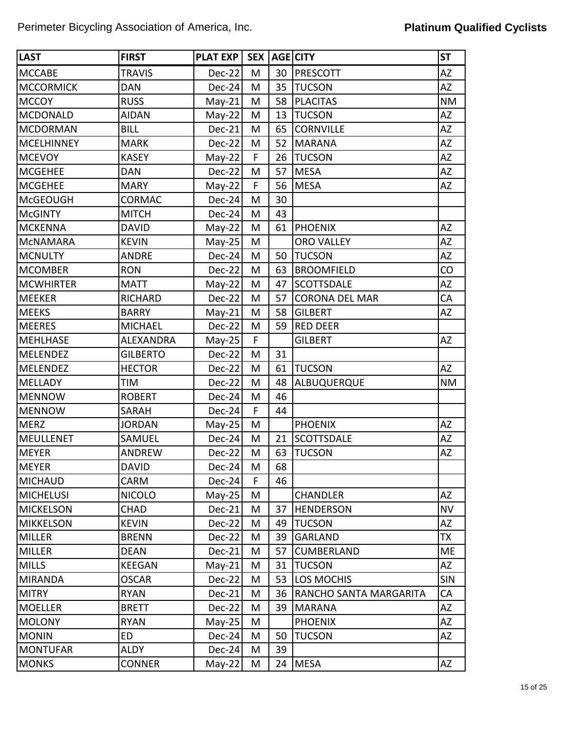| <b>LAST</b>       | <b>FIRST</b>     | PLAT EXP | SEX <sup>1</sup> |    | AGE CITY               | <b>ST</b>  |
|-------------------|------------------|----------|------------------|----|------------------------|------------|
| <b>MCCABE</b>     | <b>TRAVIS</b>    | $Dec-22$ | M                | 30 | PRESCOTT               | <b>AZ</b>  |
| <b>MCCORMICK</b>  | <b>DAN</b>       | $Dec-24$ | M                | 35 | <b>TUCSON</b>          | <b>AZ</b>  |
| <b>MCCOY</b>      | <b>RUSS</b>      | $May-21$ | M                | 58 | <b>PLACITAS</b>        | <b>NM</b>  |
| <b>MCDONALD</b>   | <b>AIDAN</b>     | $May-22$ | M                | 13 | <b>TUCSON</b>          | AZ         |
| <b>MCDORMAN</b>   | <b>BILL</b>      | Dec-21   | M                | 65 | <b>CORNVILLE</b>       | <b>AZ</b>  |
| <b>MCELHINNEY</b> | <b>MARK</b>      | Dec-22   | M                | 52 | <b>MARANA</b>          | <b>AZ</b>  |
| <b>MCEVOY</b>     | <b>KASEY</b>     | $May-22$ | $\mathsf F$      | 26 | <b>TUCSON</b>          | <b>AZ</b>  |
| <b>MCGEHEE</b>    | DAN              | Dec-22   | M                | 57 | <b>MESA</b>            | <b>AZ</b>  |
| <b>MCGEHEE</b>    | <b>MARY</b>      | $May-22$ | F                | 56 | <b>MESA</b>            | <b>AZ</b>  |
| <b>McGEOUGH</b>   | <b>CORMAC</b>    | Dec-24   | M                | 30 |                        |            |
| <b>McGINTY</b>    | <b>MITCH</b>     | $Dec-24$ | M                | 43 |                        |            |
| <b>MCKENNA</b>    | <b>DAVID</b>     | $May-22$ | M                | 61 | <b>PHOENIX</b>         | <b>AZ</b>  |
| <b>MCNAMARA</b>   | <b>KEVIN</b>     | $May-25$ | M                |    | <b>ORO VALLEY</b>      | <b>AZ</b>  |
| <b>MCNULTY</b>    | <b>ANDRE</b>     | $Dec-24$ | M                | 50 | <b>TUCSON</b>          | <b>AZ</b>  |
| <b>MCOMBER</b>    | <b>RON</b>       | Dec-22   | M                | 63 | <b>BROOMFIELD</b>      | CO         |
| <b>MCWHIRTER</b>  | <b>MATT</b>      | $May-22$ | M                | 47 | <b>SCOTTSDALE</b>      | <b>AZ</b>  |
| <b>MEEKER</b>     | <b>RICHARD</b>   | Dec-22   | M                | 57 | <b>CORONA DEL MAR</b>  | CA         |
| <b>MEEKS</b>      | <b>BARRY</b>     | $May-21$ | M                | 58 | <b>GILBERT</b>         | <b>AZ</b>  |
| <b>MEERES</b>     | <b>MICHAEL</b>   | Dec-22   | M                | 59 | <b>RED DEER</b>        |            |
| <b>MEHLHASE</b>   | <b>ALEXANDRA</b> | $May-25$ | F                |    | <b>GILBERT</b>         | <b>AZ</b>  |
| <b>MELENDEZ</b>   | <b>GILBERTO</b>  | Dec-22   | M                | 31 |                        |            |
| <b>MELENDEZ</b>   | <b>HECTOR</b>    | Dec-22   | M                | 61 | <b>TUCSON</b>          | <b>AZ</b>  |
| <b>MELLADY</b>    | TIM              | Dec-22   | M                | 48 | ALBUQUERQUE            | <b>NM</b>  |
| <b>MENNOW</b>     | <b>ROBERT</b>    | Dec-24   | M                | 46 |                        |            |
| <b>MENNOW</b>     | SARAH            | Dec-24   | F                | 44 |                        |            |
| <b>MERZ</b>       | <b>JORDAN</b>    | $May-25$ | M                |    | <b>PHOENIX</b>         | AZ         |
| <b>MEULLENET</b>  | SAMUEL           | $Dec-24$ | M                | 21 | <b>SCOTTSDALE</b>      | <b>AZ</b>  |
| <b>MEYER</b>      | <b>ANDREW</b>    | Dec-22   | M                | 63 | <b>TUCSON</b>          | AZ         |
| MEYER             | <b>DAVID</b>     | $Dec-24$ | M                | 68 |                        |            |
| <b>MICHAUD</b>    | CARM             | $Dec-24$ | F                | 46 |                        |            |
| <b>MICHELUSI</b>  | <b>NICOLO</b>    | $May-25$ | M                |    | <b>CHANDLER</b>        | <b>AZ</b>  |
| <b>MICKELSON</b>  | CHAD             | Dec-21   | M                | 37 | <b>HENDERSON</b>       | <b>NV</b>  |
| <b>MIKKELSON</b>  | <b>KEVIN</b>     | $Dec-22$ | M                | 49 | <b>TUCSON</b>          | <b>AZ</b>  |
| <b>MILLER</b>     | <b>BRENN</b>     | $Dec-22$ | M                | 39 | <b>GARLAND</b>         | <b>TX</b>  |
| <b>MILLER</b>     | <b>DEAN</b>      | Dec-21   | M                | 57 | <b>CUMBERLAND</b>      | <b>ME</b>  |
| <b>MILLS</b>      | <b>KEEGAN</b>    | $May-21$ | M                | 31 | <b>TUCSON</b>          | AZ         |
| <b>MIRANDA</b>    | <b>OSCAR</b>     | $Dec-22$ | M                | 53 | LOS MOCHIS             | <b>SIN</b> |
| <b>MITRY</b>      | <b>RYAN</b>      | $Dec-21$ | M                | 36 | RANCHO SANTA MARGARITA | CA         |
| MOELLER           | <b>BRETT</b>     | $Dec-22$ | M                | 39 | <b>MARANA</b>          | AZ         |
| <b>MOLONY</b>     | <b>RYAN</b>      | $May-25$ | M                |    | <b>PHOENIX</b>         | AZ         |
| <b>MONIN</b>      | ED               | $Dec-24$ | M                | 50 | <b>TUCSON</b>          | AZ         |
| <b>MONTUFAR</b>   | <b>ALDY</b>      | $Dec-24$ | M                | 39 |                        |            |
| <b>MONKS</b>      | <b>CONNER</b>    | $May-22$ | M                | 24 | <b>MESA</b>            | AZ         |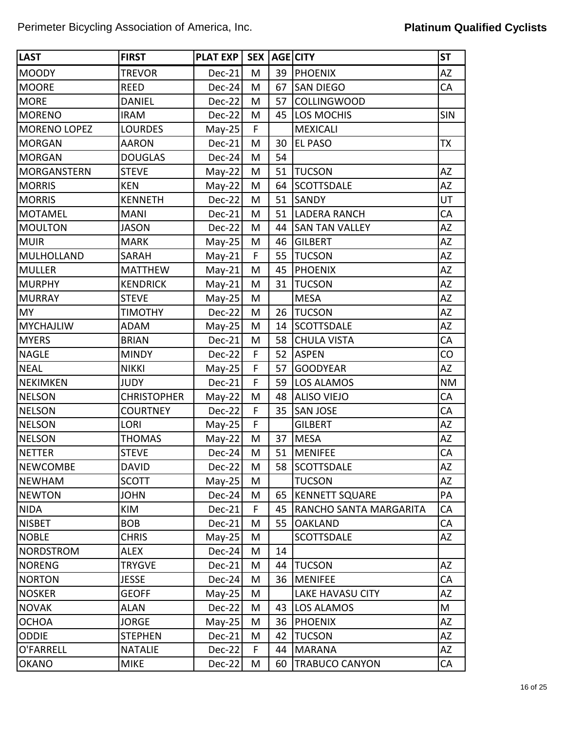| <b>LAST</b>         | <b>FIRST</b>       | <b>PLAT EXP</b> | <b>SEX</b> |    | AGE CITY                | <b>ST</b>  |
|---------------------|--------------------|-----------------|------------|----|-------------------------|------------|
| <b>MOODY</b>        | <b>TREVOR</b>      | Dec-21          | M          | 39 | <b>PHOENIX</b>          | <b>AZ</b>  |
| <b>MOORE</b>        | <b>REED</b>        | Dec-24          | M          | 67 | <b>SAN DIEGO</b>        | CA         |
| <b>MORE</b>         | <b>DANIEL</b>      | Dec-22          | M          | 57 | <b>COLLINGWOOD</b>      |            |
| <b>MORENO</b>       | <b>IRAM</b>        | Dec-22          | M          | 45 | <b>LOS MOCHIS</b>       | <b>SIN</b> |
| <b>MORENO LOPEZ</b> | <b>LOURDES</b>     | $May-25$        | F          |    | <b>MEXICALI</b>         |            |
| <b>MORGAN</b>       | <b>AARON</b>       | Dec-21          | M          | 30 | <b>EL PASO</b>          | <b>TX</b>  |
| <b>MORGAN</b>       | <b>DOUGLAS</b>     | $Dec-24$        | M          | 54 |                         |            |
| <b>MORGANSTERN</b>  | <b>STEVE</b>       | $May-22$        | M          | 51 | <b>TUCSON</b>           | <b>AZ</b>  |
| <b>MORRIS</b>       | <b>KEN</b>         | $May-22$        | M          | 64 | <b>SCOTTSDALE</b>       | <b>AZ</b>  |
| <b>MORRIS</b>       | <b>KENNETH</b>     | $Dec-22$        | M          | 51 | <b>SANDY</b>            | UT         |
| <b>MOTAMEL</b>      | <b>MANI</b>        | Dec-21          | M          | 51 | <b>LADERA RANCH</b>     | CA         |
| <b>MOULTON</b>      | <b>JASON</b>       | Dec-22          | M          | 44 | <b>SAN TAN VALLEY</b>   | <b>AZ</b>  |
| <b>MUIR</b>         | <b>MARK</b>        | $May-25$        | M          | 46 | <b>GILBERT</b>          | AZ         |
| <b>MULHOLLAND</b>   | SARAH              | $May-21$        | F          | 55 | <b>TUCSON</b>           | <b>AZ</b>  |
| <b>MULLER</b>       | <b>MATTHEW</b>     | $May-21$        | M          | 45 | <b>PHOENIX</b>          | AZ         |
| <b>MURPHY</b>       | <b>KENDRICK</b>    | $May-21$        | M          | 31 | <b>TUCSON</b>           | <b>AZ</b>  |
| <b>MURRAY</b>       | <b>STEVE</b>       | $May-25$        | M          |    | <b>MESA</b>             | AZ         |
| <b>MY</b>           | <b>TIMOTHY</b>     | $Dec-22$        | M          | 26 | <b>TUCSON</b>           | <b>AZ</b>  |
| <b>MYCHAJLIW</b>    | <b>ADAM</b>        | $May-25$        | M          | 14 | <b>SCOTTSDALE</b>       | <b>AZ</b>  |
| <b>MYERS</b>        | <b>BRIAN</b>       | $Dec-21$        | M          | 58 | <b>CHULA VISTA</b>      | CA         |
| <b>NAGLE</b>        | <b>MINDY</b>       | Dec-22          | F          | 52 | <b>ASPEN</b>            | CO         |
| <b>NEAL</b>         | <b>NIKKI</b>       | $May-25$        | F          | 57 | <b>GOODYEAR</b>         | <b>AZ</b>  |
| <b>NEKIMKEN</b>     | <b>JUDY</b>        | $Dec-21$        | F          | 59 | <b>LOS ALAMOS</b>       | <b>NM</b>  |
| <b>NELSON</b>       | <b>CHRISTOPHER</b> | $May-22$        | M          | 48 | <b>ALISO VIEJO</b>      | CA         |
| <b>NELSON</b>       | <b>COURTNEY</b>    | $Dec-22$        | F          | 35 | <b>SAN JOSE</b>         | CA         |
| <b>NELSON</b>       | <b>LORI</b>        | $May-25$        | F          |    | <b>GILBERT</b>          | <b>AZ</b>  |
| <b>NELSON</b>       | <b>THOMAS</b>      | $May-22$        | M          | 37 | <b>MESA</b>             | <b>AZ</b>  |
| <b>NETTER</b>       | <b>STEVE</b>       | Dec-24          | M          | 51 | <b>MENIFEE</b>          | CA         |
| <b>NEWCOMBE</b>     | <b>DAVID</b>       | $Dec-22$        | M          | 58 | <b>SCOTTSDALE</b>       | AZ         |
| NEWHAM              | <b>SCOTT</b>       | $May-25$        | M          |    | <b>TUCSON</b>           | AZ         |
| <b>NEWTON</b>       | <b>JOHN</b>        | $Dec-24$        | M          | 65 | <b>KENNETT SQUARE</b>   | PA         |
| <b>NIDA</b>         | KIM                | $Dec-21$        | F          | 45 | RANCHO SANTA MARGARITA  | CA         |
| <b>NISBET</b>       | <b>BOB</b>         | $Dec-21$        | M          | 55 | <b>OAKLAND</b>          | CA         |
| <b>NOBLE</b>        | <b>CHRIS</b>       | $May-25$        | M          |    | <b>SCOTTSDALE</b>       | AZ         |
| <b>NORDSTROM</b>    | ALEX               | $Dec-24$        | M          | 14 |                         |            |
| <b>NORENG</b>       | <b>TRYGVE</b>      | $Dec-21$        | M          | 44 | <b>TUCSON</b>           | <b>AZ</b>  |
| <b>NORTON</b>       | <b>JESSE</b>       | $Dec-24$        | M          | 36 | MENIFEE                 | CA         |
| <b>NOSKER</b>       | <b>GEOFF</b>       | $May-25$        | M          |    | <b>LAKE HAVASU CITY</b> | AZ         |
| <b>NOVAK</b>        | ALAN               | $Dec-22$        | M          | 43 | LOS ALAMOS              | M          |
| <b>OCHOA</b>        | <b>JORGE</b>       | $May-25$        | M          | 36 | <b>PHOENIX</b>          | <b>AZ</b>  |
| <b>ODDIE</b>        | <b>STEPHEN</b>     | Dec-21          | M          | 42 | <b>TUCSON</b>           | AZ         |
| O'FARRELL           | <b>NATALIE</b>     | $Dec-22$        | F          | 44 | <b>MARANA</b>           | AZ         |
| <b>OKANO</b>        | <b>MIKE</b>        | $Dec-22$        | M          | 60 | <b>TRABUCO CANYON</b>   | CA         |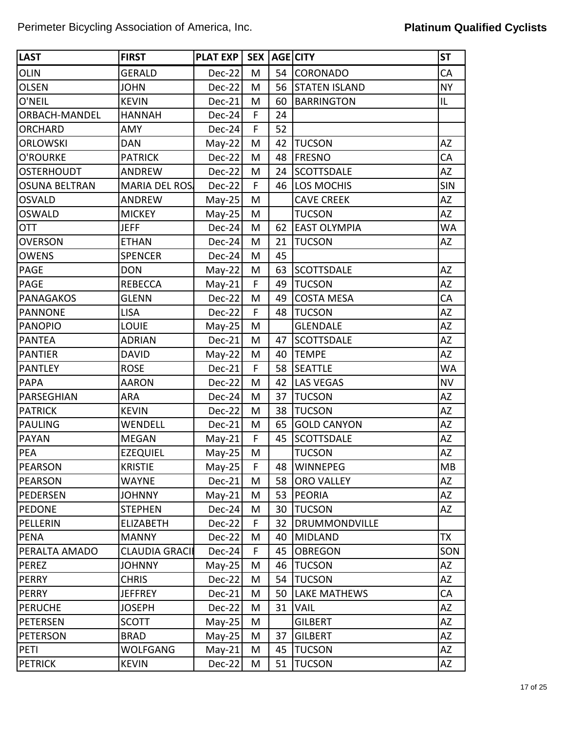| <b>LAST</b>          | <b>FIRST</b>         | <b>PLAT EXP</b> | SEX <sup>1</sup> |    | AGE CITY             | <b>ST</b>  |
|----------------------|----------------------|-----------------|------------------|----|----------------------|------------|
| <b>OLIN</b>          | <b>GERALD</b>        | Dec-22          | M                | 54 | <b>CORONADO</b>      | CA         |
| <b>OLSEN</b>         | <b>JOHN</b>          | Dec-22          | M                | 56 | <b>STATEN ISLAND</b> | <b>NY</b>  |
| O'NEIL               | <b>KEVIN</b>         | Dec-21          | M                | 60 | <b>BARRINGTON</b>    | IL         |
| <b>ORBACH-MANDEL</b> | <b>HANNAH</b>        | Dec-24          | F                | 24 |                      |            |
| <b>ORCHARD</b>       | AMY                  | Dec-24          | F                | 52 |                      |            |
| <b>ORLOWSKI</b>      | <b>DAN</b>           | $May-22$        | M                | 42 | <b>TUCSON</b>        | <b>AZ</b>  |
| O'ROURKE             | <b>PATRICK</b>       | Dec-22          | M                | 48 | <b>FRESNO</b>        | CA         |
| <b>OSTERHOUDT</b>    | <b>ANDREW</b>        | Dec-22          | M                | 24 | <b>SCOTTSDALE</b>    | <b>AZ</b>  |
| <b>OSUNA BELTRAN</b> | <b>MARIA DEL ROS</b> | Dec-22          | F                | 46 | LOS MOCHIS           | <b>SIN</b> |
| <b>OSVALD</b>        | <b>ANDREW</b>        | $May-25$        | M                |    | <b>CAVE CREEK</b>    | <b>AZ</b>  |
| OSWALD               | <b>MICKEY</b>        | $May-25$        | M                |    | <b>TUCSON</b>        | <b>AZ</b>  |
| <b>OTT</b>           | <b>JEFF</b>          | Dec-24          | M                | 62 | <b>EAST OLYMPIA</b>  | <b>WA</b>  |
| <b>OVERSON</b>       | <b>ETHAN</b>         | Dec-24          | M                | 21 | <b>TUCSON</b>        | <b>AZ</b>  |
| <b>OWENS</b>         | <b>SPENCER</b>       | Dec-24          | M                | 45 |                      |            |
| <b>PAGE</b>          | <b>DON</b>           | $May-22$        | M                | 63 | <b>SCOTTSDALE</b>    | AZ         |
| <b>PAGE</b>          | <b>REBECCA</b>       | $May-21$        | F                | 49 | <b>TUCSON</b>        | <b>AZ</b>  |
| <b>PANAGAKOS</b>     | <b>GLENN</b>         | Dec-22          | M                | 49 | <b>COSTA MESA</b>    | CA         |
| <b>PANNONE</b>       | <b>LISA</b>          | Dec-22          | F                | 48 | <b>TUCSON</b>        | <b>AZ</b>  |
| <b>PANOPIO</b>       | <b>LOUIE</b>         | $May-25$        | M                |    | <b>GLENDALE</b>      | <b>AZ</b>  |
| <b>PANTEA</b>        | <b>ADRIAN</b>        | Dec-21          | M                | 47 | <b>SCOTTSDALE</b>    | <b>AZ</b>  |
| <b>PANTIER</b>       | <b>DAVID</b>         | $May-22$        | M                | 40 | <b>TEMPE</b>         | <b>AZ</b>  |
| <b>PANTLEY</b>       | <b>ROSE</b>          | Dec-21          | F                | 58 | <b>SEATTLE</b>       | <b>WA</b>  |
| <b>PAPA</b>          | <b>AARON</b>         | Dec-22          | M                | 42 | <b>LAS VEGAS</b>     | <b>NV</b>  |
| PARSEGHIAN           | <b>ARA</b>           | Dec-24          | M                | 37 | <b>TUCSON</b>        | <b>AZ</b>  |
| <b>PATRICK</b>       | <b>KEVIN</b>         | Dec-22          | M                | 38 | <b>TUCSON</b>        | AZ         |
| <b>PAULING</b>       | WENDELL              | Dec-21          | M                | 65 | <b>GOLD CANYON</b>   | <b>AZ</b>  |
| <b>PAYAN</b>         | <b>MEGAN</b>         | $May-21$        | F                | 45 | <b>SCOTTSDALE</b>    | AZ         |
| <b>PEA</b>           | <b>EZEQUIEL</b>      | May-25          | M                |    | <b>TUCSON</b>        | AZ         |
| PEARSON              | <b>KRISTIE</b>       | $May-25$        | F                |    | 48   WINNEPEG        | <b>MB</b>  |
| <b>PEARSON</b>       | <b>WAYNE</b>         | Dec-21          | M                | 58 | <b>ORO VALLEY</b>    | AZ         |
| PEDERSEN             | <b>JOHNNY</b>        | $May-21$        | M                | 53 | <b>PEORIA</b>        | AZ         |
| <b>PEDONE</b>        | <b>STEPHEN</b>       | Dec-24          | Μ                | 30 | <b>TUCSON</b>        | AZ         |
| PELLERIN             | <b>ELIZABETH</b>     | Dec-22          | F                | 32 | <b>DRUMMONDVILLE</b> |            |
| <b>PENA</b>          | <b>MANNY</b>         | Dec-22          | M                | 40 | <b>MIDLAND</b>       | TX         |
| PERALTA AMADO        | <b>CLAUDIA GRACI</b> | Dec-24          | F                | 45 | <b>OBREGON</b>       | SON        |
| <b>PEREZ</b>         | <b>JOHNNY</b>        | $May-25$        | Μ                | 46 | <b>TUCSON</b>        | AZ         |
| <b>PERRY</b>         | <b>CHRIS</b>         | Dec-22          | M                | 54 | <b>TUCSON</b>        | AZ         |
| <b>PERRY</b>         | <b>JEFFREY</b>       | Dec-21          | Μ                | 50 | <b>LAKE MATHEWS</b>  | CA         |
| PERUCHE              | <b>JOSEPH</b>        | Dec-22          | M                | 31 | <b>VAIL</b>          | AZ         |
| <b>PETERSEN</b>      | <b>SCOTT</b>         | $May-25$        | M                |    | <b>GILBERT</b>       | AZ         |
| <b>PETERSON</b>      | <b>BRAD</b>          | $May-25$        | M                | 37 | <b>GILBERT</b>       | AZ         |
| PETI                 | <b>WOLFGANG</b>      | $May-21$        | M                | 45 | <b>TUCSON</b>        | AZ         |
| <b>PETRICK</b>       | <b>KEVIN</b>         | Dec-22          | M                | 51 | <b>TUCSON</b>        | AZ         |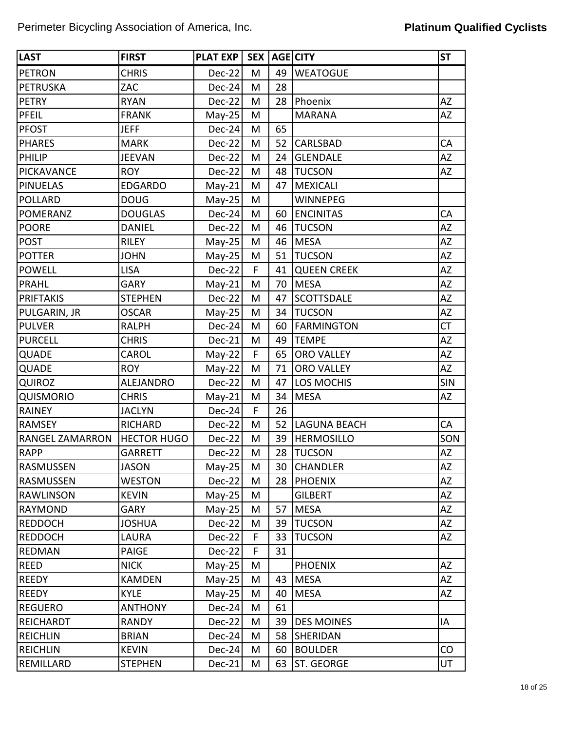| <b>LAST</b>            | <b>FIRST</b>       | <b>PLAT EXP</b> | <b>SEX</b> |    | <b>AGE CITY</b>     | <b>ST</b>  |
|------------------------|--------------------|-----------------|------------|----|---------------------|------------|
| <b>PETRON</b>          | <b>CHRIS</b>       | Dec-22          | M          | 49 | <b>WEATOGUE</b>     |            |
| PETRUSKA               | ZAC                | Dec-24          | M          | 28 |                     |            |
| <b>PETRY</b>           | <b>RYAN</b>        | Dec-22          | M          | 28 | Phoenix             | <b>AZ</b>  |
| <b>PFEIL</b>           | <b>FRANK</b>       | $May-25$        | M          |    | <b>MARANA</b>       | <b>AZ</b>  |
| <b>PFOST</b>           | <b>JEFF</b>        | Dec-24          | M          | 65 |                     |            |
| <b>PHARES</b>          | <b>MARK</b>        | Dec-22          | M          | 52 | <b>CARLSBAD</b>     | CA         |
| PHILIP                 | <b>JEEVAN</b>      | Dec-22          | M          | 24 | <b>GLENDALE</b>     | AZ         |
| <b>PICKAVANCE</b>      | <b>ROY</b>         | Dec-22          | M          | 48 | <b>TUCSON</b>       | AZ         |
| <b>PINUELAS</b>        | <b>EDGARDO</b>     | $May-21$        | M          | 47 | <b>MEXICALI</b>     |            |
| <b>POLLARD</b>         | <b>DOUG</b>        | $May-25$        | M          |    | <b>WINNEPEG</b>     |            |
| <b>POMERANZ</b>        | <b>DOUGLAS</b>     | Dec-24          | M          | 60 | <b>ENCINITAS</b>    | CA         |
| <b>POORE</b>           | <b>DANIEL</b>      | Dec-22          | M          | 46 | <b>TUCSON</b>       | ΑZ         |
| <b>POST</b>            | <b>RILEY</b>       | $May-25$        | M          | 46 | <b>MESA</b>         | AZ         |
| <b>POTTER</b>          | <b>JOHN</b>        | $May-25$        | M          | 51 | <b>TUCSON</b>       | AZ         |
| <b>POWELL</b>          | <b>LISA</b>        | Dec-22          | F          | 41 | <b>QUEEN CREEK</b>  | <b>AZ</b>  |
| PRAHL                  | <b>GARY</b>        | $May-21$        | M          | 70 | <b>MESA</b>         | <b>AZ</b>  |
| <b>PRIFTAKIS</b>       | <b>STEPHEN</b>     | Dec-22          | M          | 47 | <b>SCOTTSDALE</b>   | ΑZ         |
| PULGARIN, JR           | <b>OSCAR</b>       | $May-25$        | M          | 34 | <b>TUCSON</b>       | ΑZ         |
| <b>PULVER</b>          | <b>RALPH</b>       | Dec-24          | M          | 60 | <b>FARMINGTON</b>   | <b>CT</b>  |
| <b>PURCELL</b>         | <b>CHRIS</b>       | Dec-21          | M          | 49 | <b>TEMPE</b>        | ΑZ         |
| QUADE                  | CAROL              | May-22          | F          | 65 | <b>ORO VALLEY</b>   | AZ         |
| QUADE                  | <b>ROY</b>         | $May-22$        | M          | 71 | <b>ORO VALLEY</b>   | ΑZ         |
| <b>QUIROZ</b>          | ALEJANDRO          | Dec-22          | M          | 47 | LOS MOCHIS          | <b>SIN</b> |
| <b>QUISMORIO</b>       | <b>CHRIS</b>       | $May-21$        | M          | 34 | <b>MESA</b>         | AZ         |
| <b>RAINEY</b>          | <b>JACLYN</b>      | Dec-24          | F.         | 26 |                     |            |
| <b>RAMSEY</b>          | <b>RICHARD</b>     | Dec-22          | M          | 52 | <b>LAGUNA BEACH</b> | CA         |
| <b>RANGEL ZAMARRON</b> | <b>HECTOR HUGO</b> | Dec-22          | M          | 39 | <b>HERMOSILLO</b>   | SON        |
| <b>RAPP</b>            | GARRETT            | Dec-22          | M          | 28 | <b>TUCSON</b>       | AZ         |
| <b>RASMUSSEN</b>       | <b>JASON</b>       | $May-25$        | M          | 30 | <b>CHANDLER</b>     | <b>AZ</b>  |
| <b>RASMUSSEN</b>       | <b>WESTON</b>      | Dec-22          | M          | 28 | <b>PHOENIX</b>      | AZ         |
| <b>RAWLINSON</b>       | <b>KEVIN</b>       | $May-25$        | M          |    | <b>GILBERT</b>      | AZ         |
| <b>RAYMOND</b>         | <b>GARY</b>        | $May-25$        | M          | 57 | <b>MESA</b>         | AZ         |
| <b>REDDOCH</b>         | <b>JOSHUA</b>      | Dec-22          | M          | 39 | <b>TUCSON</b>       | AZ         |
| <b>REDDOCH</b>         | LAURA              | Dec-22          | F          | 33 | <b>TUCSON</b>       | AZ         |
| <b>REDMAN</b>          | <b>PAIGE</b>       | Dec-22          | F          | 31 |                     |            |
| <b>REED</b>            | <b>NICK</b>        | $May-25$        | M          |    | <b>PHOENIX</b>      | <b>AZ</b>  |
| <b>REEDY</b>           | <b>KAMDEN</b>      | $May-25$        | M          | 43 | <b>MESA</b>         | AZ         |
| <b>REEDY</b>           | <b>KYLE</b>        | $May-25$        | M          | 40 | <b>MESA</b>         | AZ         |
| <b>REGUERO</b>         | <b>ANTHONY</b>     | Dec-24          | Μ          | 61 |                     |            |
| <b>REICHARDT</b>       | <b>RANDY</b>       | Dec-22          | M          | 39 | <b>DES MOINES</b>   | IA         |
| REICHLIN               | <b>BRIAN</b>       | Dec-24          | M          | 58 | SHERIDAN            |            |
| <b>REICHLIN</b>        | <b>KEVIN</b>       | Dec-24          | M          | 60 | <b>BOULDER</b>      | CO         |
| REMILLARD              | <b>STEPHEN</b>     | Dec-21          | M          | 63 | <b>ST. GEORGE</b>   | UT         |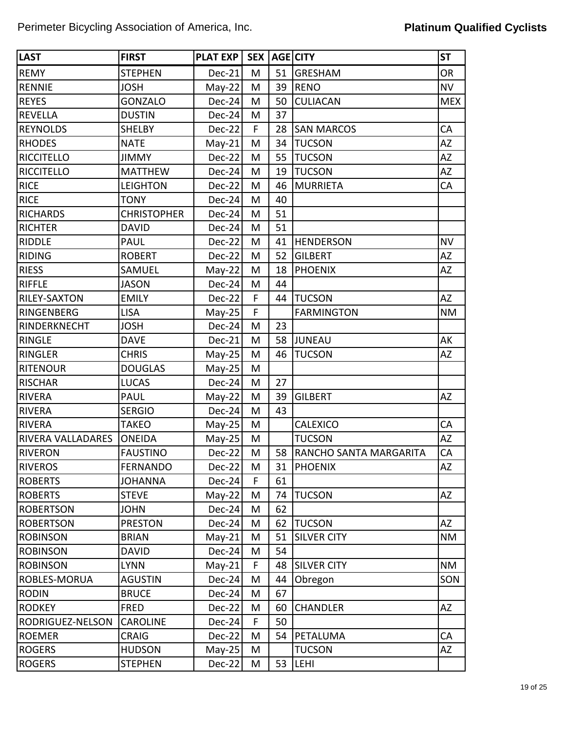| <b>LAST</b>              | <b>FIRST</b>       | <b>PLAT EXP</b> | SEX <sup>1</sup> |    | AGE CITY               | <b>ST</b>  |
|--------------------------|--------------------|-----------------|------------------|----|------------------------|------------|
| <b>REMY</b>              | <b>STEPHEN</b>     | Dec-21          | M                | 51 | <b>GRESHAM</b>         | <b>OR</b>  |
| <b>RENNIE</b>            | <b>JOSH</b>        | $May-22$        | M                | 39 | <b>RENO</b>            | <b>NV</b>  |
| <b>REYES</b>             | <b>GONZALO</b>     | Dec-24          | M                | 50 | <b>CULIACAN</b>        | <b>MEX</b> |
| <b>REVELLA</b>           | <b>DUSTIN</b>      | Dec-24          | M                | 37 |                        |            |
| <b>REYNOLDS</b>          | <b>SHELBY</b>      | Dec-22          | F                | 28 | <b>SAN MARCOS</b>      | CA         |
| <b>RHODES</b>            | <b>NATE</b>        | $May-21$        | M                | 34 | <b>TUCSON</b>          | <b>AZ</b>  |
| <b>RICCITELLO</b>        | <b>JIMMY</b>       | Dec-22          | M                | 55 | <b>TUCSON</b>          | <b>AZ</b>  |
| <b>RICCITELLO</b>        | <b>MATTHEW</b>     | Dec-24          | M                | 19 | <b>TUCSON</b>          | <b>AZ</b>  |
| <b>RICE</b>              | <b>LEIGHTON</b>    | Dec-22          | M                | 46 | <b>MURRIETA</b>        | CA         |
| <b>RICE</b>              | <b>TONY</b>        | Dec-24          | M                | 40 |                        |            |
| <b>RICHARDS</b>          | <b>CHRISTOPHER</b> | Dec-24          | M                | 51 |                        |            |
| <b>RICHTER</b>           | <b>DAVID</b>       | Dec-24          | M                | 51 |                        |            |
| <b>RIDDLE</b>            | <b>PAUL</b>        | Dec-22          | M                | 41 | <b>HENDERSON</b>       | <b>NV</b>  |
| <b>RIDING</b>            | <b>ROBERT</b>      | Dec-22          | M                | 52 | <b>GILBERT</b>         | AZ         |
| <b>RIESS</b>             | SAMUEL             | $May-22$        | M                | 18 | <b>PHOENIX</b>         | <b>AZ</b>  |
| <b>RIFFLE</b>            | <b>JASON</b>       | Dec-24          | M                | 44 |                        |            |
| RILEY-SAXTON             | <b>EMILY</b>       | Dec-22          | F                | 44 | <b>TUCSON</b>          | <b>AZ</b>  |
| RINGENBERG               | <b>LISA</b>        | May-25          | F                |    | <b>FARMINGTON</b>      | <b>NM</b>  |
| RINDERKNECHT             | <b>JOSH</b>        | Dec-24          | M                | 23 |                        |            |
| <b>RINGLE</b>            | <b>DAVE</b>        | Dec-21          | M                | 58 | <b>JUNEAU</b>          | AK         |
| <b>RINGLER</b>           | <b>CHRIS</b>       | $May-25$        | M                | 46 | <b>TUCSON</b>          | <b>AZ</b>  |
| <b>RITENOUR</b>          | <b>DOUGLAS</b>     | $May-25$        | M                |    |                        |            |
| <b>RISCHAR</b>           | <b>LUCAS</b>       | Dec-24          | M                | 27 |                        |            |
| <b>RIVERA</b>            | <b>PAUL</b>        | $May-22$        | M                | 39 | <b>GILBERT</b>         | AZ         |
| <b>RIVERA</b>            | <b>SERGIO</b>      | Dec-24          | M                | 43 |                        |            |
| <b>RIVERA</b>            | <b>TAKEO</b>       | $May-25$        | M                |    | <b>CALEXICO</b>        | CA         |
| <b>RIVERA VALLADARES</b> | <b>ONEIDA</b>      | $May-25$        | M                |    | <b>TUCSON</b>          | AZ         |
| <b>RIVERON</b>           | <b>FAUSTINO</b>    | Dec-22          | M                | 58 | RANCHO SANTA MARGARITA | CA         |
| <b>RIVEROS</b>           | <b>FERNANDO</b>    | $Dec-22$        | M                |    | 31   PHOENIX           | AZ         |
| <b>ROBERTS</b>           | <b>JOHANNA</b>     | $Dec-24$        | F                | 61 |                        |            |
| <b>ROBERTS</b>           | <b>STEVE</b>       | $May-22$        | M                | 74 | <b>TUCSON</b>          | <b>AZ</b>  |
| <b>ROBERTSON</b>         | <b>JOHN</b>        | Dec-24          | M                | 62 |                        |            |
| <b>ROBERTSON</b>         | <b>PRESTON</b>     | $Dec-24$        | M                | 62 | <b>TUCSON</b>          | <b>AZ</b>  |
| <b>ROBINSON</b>          | <b>BRIAN</b>       | $May-21$        | M                | 51 | <b>SILVER CITY</b>     | <b>NM</b>  |
| <b>ROBINSON</b>          | <b>DAVID</b>       | $Dec-24$        | M                | 54 |                        |            |
| <b>ROBINSON</b>          | <b>LYNN</b>        | $May-21$        | F                | 48 | <b>SILVER CITY</b>     | <b>NM</b>  |
| ROBLES-MORUA             | <b>AGUSTIN</b>     | Dec-24          | M                | 44 | Obregon                | SON        |
| <b>RODIN</b>             | <b>BRUCE</b>       | Dec-24          | M                | 67 |                        |            |
| <b>RODKEY</b>            | <b>FRED</b>        | Dec-22          | M                | 60 | <b>CHANDLER</b>        | AZ         |
| RODRIGUEZ-NELSON         | <b>CAROLINE</b>    | $Dec-24$        | F                | 50 |                        |            |
| <b>ROEMER</b>            | <b>CRAIG</b>       | Dec-22          | M                | 54 | PETALUMA               | CA         |
| <b>ROGERS</b>            | <b>HUDSON</b>      | $May-25$        | M                |    | <b>TUCSON</b>          | AZ         |
| <b>ROGERS</b>            | <b>STEPHEN</b>     | Dec-22          | M                | 53 | LEHI                   |            |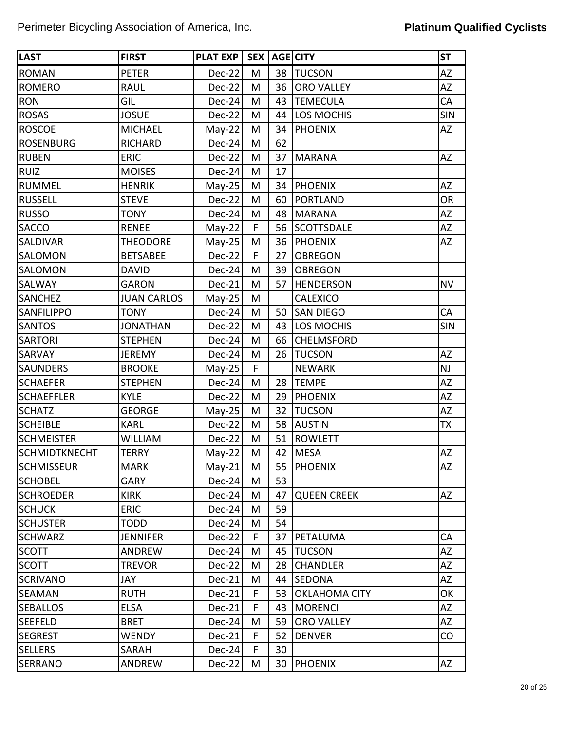| <b>LAST</b>          | <b>FIRST</b>       | <b>PLAT EXP</b> | SEX <sup>1</sup> |    | <b>AGE CITY</b>      | <b>ST</b>  |
|----------------------|--------------------|-----------------|------------------|----|----------------------|------------|
| <b>ROMAN</b>         | <b>PETER</b>       | Dec-22          | M                | 38 | <b>TUCSON</b>        | <b>AZ</b>  |
| <b>ROMERO</b>        | <b>RAUL</b>        | Dec-22          | M                | 36 | <b>ORO VALLEY</b>    | AZ         |
| <b>RON</b>           | GIL                | Dec-24          | M                | 43 | <b>TEMECULA</b>      | CA         |
| <b>ROSAS</b>         | <b>JOSUE</b>       | Dec-22          | M                | 44 | LOS MOCHIS           | SIN        |
| <b>ROSCOE</b>        | <b>MICHAEL</b>     | $May-22$        | M                | 34 | <b>PHOENIX</b>       | <b>AZ</b>  |
| <b>ROSENBURG</b>     | <b>RICHARD</b>     | Dec-24          | M                | 62 |                      |            |
| <b>RUBEN</b>         | <b>ERIC</b>        | Dec-22          | M                | 37 | <b>MARANA</b>        | <b>AZ</b>  |
| <b>RUIZ</b>          | <b>MOISES</b>      | Dec-24          | M                | 17 |                      |            |
| <b>RUMMEL</b>        | <b>HENRIK</b>      | $May-25$        | M                | 34 | PHOENIX              | AZ         |
| <b>RUSSELL</b>       | <b>STEVE</b>       | Dec-22          | M                | 60 | <b>PORTLAND</b>      | <b>OR</b>  |
| <b>RUSSO</b>         | <b>TONY</b>        | Dec-24          | M                | 48 | <b>MARANA</b>        | <b>AZ</b>  |
| <b>SACCO</b>         | <b>RENEE</b>       | $May-22$        | F                | 56 | <b>SCOTTSDALE</b>    | AZ         |
| <b>SALDIVAR</b>      | <b>THEODORE</b>    | $May-25$        | M                | 36 | <b>PHOENIX</b>       | AZ         |
| <b>SALOMON</b>       | <b>BETSABEE</b>    | Dec-22          | F                | 27 | <b>OBREGON</b>       |            |
| SALOMON              | <b>DAVID</b>       | Dec-24          | M                | 39 | <b>OBREGON</b>       |            |
| <b>SALWAY</b>        | <b>GARON</b>       | Dec-21          | M                | 57 | <b>HENDERSON</b>     | <b>NV</b>  |
| <b>SANCHEZ</b>       | <b>JUAN CARLOS</b> | $May-25$        | M                |    | <b>CALEXICO</b>      |            |
| <b>SANFILIPPO</b>    | <b>TONY</b>        | Dec-24          | M                | 50 | <b>SAN DIEGO</b>     | CA         |
| <b>SANTOS</b>        | <b>JONATHAN</b>    | Dec-22          | M                | 43 | LOS MOCHIS           | <b>SIN</b> |
| <b>SARTORI</b>       | <b>STEPHEN</b>     | Dec-24          | M                | 66 | <b>CHELMSFORD</b>    |            |
| <b>SARVAY</b>        | <b>JEREMY</b>      | Dec-24          | M                | 26 | <b>TUCSON</b>        | AZ         |
| <b>SAUNDERS</b>      | <b>BROOKE</b>      | $May-25$        | F                |    | <b>NEWARK</b>        | NJ         |
| <b>SCHAEFER</b>      | <b>STEPHEN</b>     | Dec-24          | M                | 28 | <b>TEMPE</b>         | AZ         |
| <b>SCHAEFFLER</b>    | <b>KYLE</b>        | Dec-22          | M                | 29 | <b>PHOENIX</b>       | AZ         |
| <b>SCHATZ</b>        | <b>GEORGE</b>      | $May-25$        | M                | 32 | <b>TUCSON</b>        | AZ         |
| <b>SCHEIBLE</b>      | <b>KARL</b>        | Dec-22          | M                | 58 | <b>AUSTIN</b>        | <b>TX</b>  |
| <b>SCHMEISTER</b>    | <b>WILLIAM</b>     | Dec-22          | M                | 51 | <b>ROWLETT</b>       |            |
| <b>SCHMIDTKNECHT</b> | <b>TERRY</b>       | $May-22$        | M                | 42 | <b>MESA</b>          | AZ         |
| <b>SCHMISSEUR</b>    | <b>MARK</b>        | $May-21$        | M                |    | 55   PHOENIX         | AZ         |
| <b>SCHOBEL</b>       | <b>GARY</b>        | Dec-24          | Μ                | 53 |                      |            |
| <b>SCHROEDER</b>     | <b>KIRK</b>        | Dec-24          | M                | 47 | <b>QUEEN CREEK</b>   | AZ         |
| <b>SCHUCK</b>        | <b>ERIC</b>        | Dec-24          | M                | 59 |                      |            |
| <b>SCHUSTER</b>      | <b>TODD</b>        | Dec-24          | M                | 54 |                      |            |
| <b>SCHWARZ</b>       | <b>JENNIFER</b>    | Dec-22          | F                | 37 | PETALUMA             | CA         |
| <b>SCOTT</b>         | ANDREW             | Dec-24          | M                | 45 | <b>TUCSON</b>        | <b>AZ</b>  |
| <b>SCOTT</b>         | <b>TREVOR</b>      | Dec-22          | Μ                | 28 | <b>CHANDLER</b>      | AZ         |
| <b>SCRIVANO</b>      | JAY                | Dec-21          | M                | 44 | <b>SEDONA</b>        | AZ         |
| <b>SEAMAN</b>        | <b>RUTH</b>        | Dec-21          | F                | 53 | <b>OKLAHOMA CITY</b> | OK         |
| <b>SEBALLOS</b>      | <b>ELSA</b>        | Dec-21          | F                | 43 | <b>MORENCI</b>       | AZ         |
| <b>SEEFELD</b>       | <b>BRET</b>        | Dec-24          | M                | 59 | <b>ORO VALLEY</b>    | AZ         |
| <b>SEGREST</b>       | WENDY              | Dec-21          | F                | 52 | <b>DENVER</b>        | CO         |
| <b>SELLERS</b>       | SARAH              | Dec-24          | F                | 30 |                      |            |
| <b>SERRANO</b>       | ANDREW             | Dec-22          | M                | 30 | <b>PHOENIX</b>       | <b>AZ</b>  |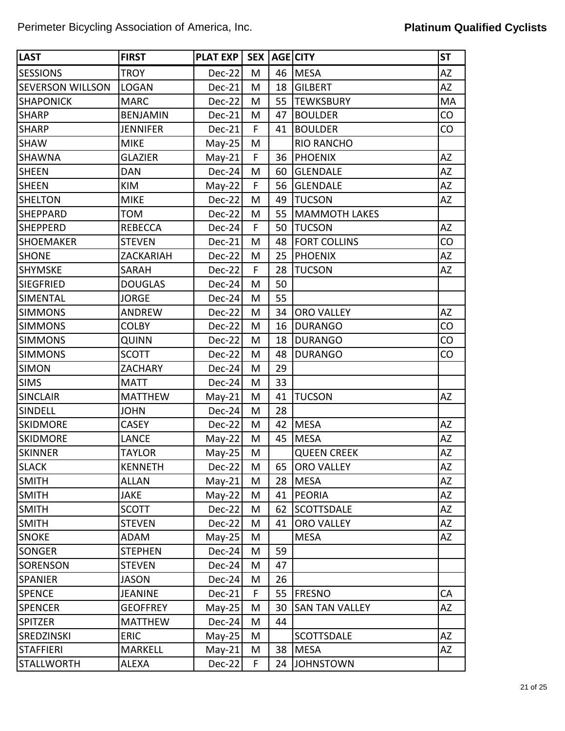| <b>LAST</b>             | <b>FIRST</b>    | <b>PLAT EXP</b> | SEX <sup>1</sup> |    | <b>AGE CITY</b>       | <b>ST</b> |
|-------------------------|-----------------|-----------------|------------------|----|-----------------------|-----------|
| <b>SESSIONS</b>         | <b>TROY</b>     | Dec-22          | M                | 46 | <b>MESA</b>           | AZ        |
| <b>SEVERSON WILLSON</b> | <b>LOGAN</b>    | Dec-21          | M                | 18 | <b>GILBERT</b>        | AZ        |
| <b>SHAPONICK</b>        | <b>MARC</b>     | $Dec-22$        | M                | 55 | <b>TEWKSBURY</b>      | MA        |
| <b>SHARP</b>            | <b>BENJAMIN</b> | Dec-21          | M                | 47 | <b>BOULDER</b>        | CO        |
| <b>SHARP</b>            | <b>JENNIFER</b> | $Dec-21$        | F                | 41 | <b>BOULDER</b>        | CO        |
| <b>SHAW</b>             | <b>MIKE</b>     | $May-25$        | M                |    | <b>RIO RANCHO</b>     |           |
| <b>SHAWNA</b>           | <b>GLAZIER</b>  | $May-21$        | F                | 36 | <b>PHOENIX</b>        | AZ        |
| <b>SHEEN</b>            | <b>DAN</b>      | $Dec-24$        | M                | 60 | <b>GLENDALE</b>       | AZ        |
| <b>SHEEN</b>            | KIM             | $May-22$        | F                | 56 | <b>GLENDALE</b>       | AZ        |
| <b>SHELTON</b>          | <b>MIKE</b>     | $Dec-22$        | M                | 49 | <b>TUCSON</b>         | AZ        |
| <b>SHEPPARD</b>         | <b>TOM</b>      | Dec-22          | M                | 55 | <b>MAMMOTH LAKES</b>  |           |
| <b>SHEPPERD</b>         | <b>REBECCA</b>  | $Dec-24$        | F                | 50 | <b>TUCSON</b>         | AZ        |
| <b>SHOEMAKER</b>        | <b>STEVEN</b>   | Dec-21          | M                | 48 | <b>FORT COLLINS</b>   | CO        |
| <b>SHONE</b>            | ZACKARIAH       | $Dec-22$        | M                | 25 | <b>PHOENIX</b>        | AZ        |
| <b>SHYMSKE</b>          | <b>SARAH</b>    | Dec-22          | F                | 28 | <b>TUCSON</b>         | AZ        |
| <b>SIEGFRIED</b>        | <b>DOUGLAS</b>  | $Dec-24$        | M                | 50 |                       |           |
| <b>SIMENTAL</b>         | <b>JORGE</b>    | Dec-24          | M                | 55 |                       |           |
| <b>SIMMONS</b>          | <b>ANDREW</b>   | $Dec-22$        | M                | 34 | <b>ORO VALLEY</b>     | AZ        |
| <b>SIMMONS</b>          | <b>COLBY</b>    | Dec-22          | M                | 16 | <b>DURANGO</b>        | CO        |
| <b>SIMMONS</b>          | QUINN           | $Dec-22$        | M                | 18 | <b>DURANGO</b>        | CO        |
| <b>SIMMONS</b>          | <b>SCOTT</b>    | Dec-22          | M                | 48 | <b>DURANGO</b>        | CO        |
| <b>SIMON</b>            | <b>ZACHARY</b>  | Dec-24          | M                | 29 |                       |           |
| <b>SIMS</b>             | <b>MATT</b>     | $Dec-24$        | M                | 33 |                       |           |
| <b>SINCLAIR</b>         | <b>MATTHEW</b>  | $May-21$        | M                | 41 | <b>TUCSON</b>         | AZ        |
| SINDELL                 | <b>JOHN</b>     | $Dec-24$        | M                | 28 |                       |           |
| <b>SKIDMORE</b>         | <b>CASEY</b>    | Dec-22          | M                | 42 | <b>MESA</b>           | AZ        |
| <b>SKIDMORE</b>         | <b>LANCE</b>    | $May-22$        | M                | 45 | <b>MESA</b>           | ΑZ        |
| <b>SKINNER</b>          | <b>TAYLOR</b>   | $May-25$        | M                |    | <b>QUEEN CREEK</b>    | AZ        |
| <b>SLACK</b>            | <b>KENNETH</b>  | $Dec-22$        | M                | 65 | <b>ORO VALLEY</b>     | AZ        |
| <b>SMITH</b>            | <b>ALLAN</b>    | $May-21$        | M                | 28 | <b>MESA</b>           | AZ        |
| <b>SMITH</b>            | <b>JAKE</b>     | $May-22$        | M                | 41 | <b>PEORIA</b>         | AZ        |
| <b>SMITH</b>            | <b>SCOTT</b>    | $Dec-22$        | M                | 62 | <b>SCOTTSDALE</b>     | AZ        |
| <b>SMITH</b>            | <b>STEVEN</b>   | $Dec-22$        | M                | 41 | ORO VALLEY            | AZ        |
| <b>SNOKE</b>            | ADAM            | $May-25$        | M                |    | <b>MESA</b>           | AZ        |
| <b>SONGER</b>           | <b>STEPHEN</b>  | $Dec-24$        | M                | 59 |                       |           |
| <b>SORENSON</b>         | <b>STEVEN</b>   | $Dec-24$        | M                | 47 |                       |           |
| <b>SPANIER</b>          | <b>JASON</b>    | $Dec-24$        | M                | 26 |                       |           |
| <b>SPENCE</b>           | <b>JEANINE</b>  | $Dec-21$        | F                | 55 | <b>FRESNO</b>         | CA        |
| <b>SPENCER</b>          | <b>GEOFFREY</b> | $May-25$        | M                | 30 | <b>SAN TAN VALLEY</b> | AZ        |
| <b>SPITZER</b>          | <b>MATTHEW</b>  | $Dec-24$        | M                | 44 |                       |           |
| <b>SREDZINSKI</b>       | <b>ERIC</b>     | $May-25$        | M                |    | <b>SCOTTSDALE</b>     | AZ        |
| <b>STAFFIERI</b>        | <b>MARKELL</b>  | $May-21$        | M                | 38 | MESA                  | AZ        |
| <b>STALLWORTH</b>       | ALEXA           | $Dec-22$        | F                | 24 | <b>JOHNSTOWN</b>      |           |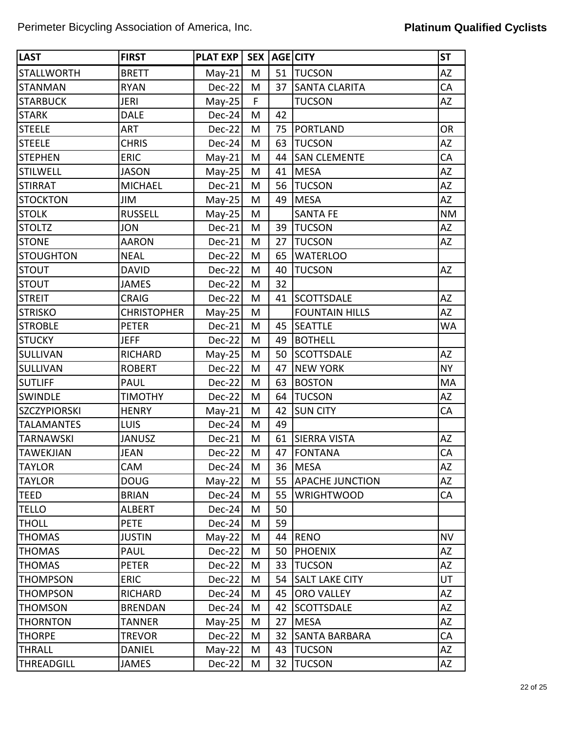| <b>LAST</b>         | <b>FIRST</b>       | PLAT EXP | SEX <sup>1</sup> |    | AGE CITY               | <b>ST</b> |
|---------------------|--------------------|----------|------------------|----|------------------------|-----------|
| <b>STALLWORTH</b>   | <b>BRETT</b>       | $May-21$ | M                | 51 | <b>TUCSON</b>          | <b>AZ</b> |
| <b>STANMAN</b>      | <b>RYAN</b>        | Dec-22   | M                | 37 | <b>SANTA CLARITA</b>   | CA        |
| <b>STARBUCK</b>     | <b>JERI</b>        | $May-25$ | F.               |    | <b>TUCSON</b>          | <b>AZ</b> |
| <b>STARK</b>        | <b>DALE</b>        | Dec-24   | M                | 42 |                        |           |
| <b>STEELE</b>       | <b>ART</b>         | Dec-22   | M                | 75 | <b>PORTLAND</b>        | <b>OR</b> |
| <b>STEELE</b>       | <b>CHRIS</b>       | Dec-24   | M                | 63 | <b>TUCSON</b>          | <b>AZ</b> |
| <b>STEPHEN</b>      | <b>ERIC</b>        | $May-21$ | M                | 44 | <b>SAN CLEMENTE</b>    | CA        |
| <b>STILWELL</b>     | <b>JASON</b>       | $May-25$ | M                | 41 | <b>MESA</b>            | <b>AZ</b> |
| <b>STIRRAT</b>      | <b>MICHAEL</b>     | $Dec-21$ | M                | 56 | <b>TUCSON</b>          | AZ        |
| <b>STOCKTON</b>     | JIM                | $May-25$ | M                | 49 | <b>MESA</b>            | <b>AZ</b> |
| <b>STOLK</b>        | <b>RUSSELL</b>     | $May-25$ | M                |    | <b>SANTA FE</b>        | <b>NM</b> |
| <b>STOLTZ</b>       | <b>JON</b>         | Dec-21   | M                | 39 | <b>TUCSON</b>          | AZ        |
| <b>STONE</b>        | <b>AARON</b>       | Dec-21   | M                | 27 | <b>TUCSON</b>          | AZ        |
| <b>STOUGHTON</b>    | <b>NEAL</b>        | $Dec-22$ | M                | 65 | <b>WATERLOO</b>        |           |
| <b>STOUT</b>        | <b>DAVID</b>       | Dec-22   | M                | 40 | <b>TUCSON</b>          | <b>AZ</b> |
| <b>STOUT</b>        | <b>JAMES</b>       | $Dec-22$ | M                | 32 |                        |           |
| <b>STREIT</b>       | <b>CRAIG</b>       | Dec-22   | M                | 41 | <b>SCOTTSDALE</b>      | <b>AZ</b> |
| <b>STRISKO</b>      | <b>CHRISTOPHER</b> | $May-25$ | M                |    | <b>FOUNTAIN HILLS</b>  | AZ        |
| <b>STROBLE</b>      | <b>PETER</b>       | Dec-21   | M                | 45 | <b>SEATTLE</b>         | <b>WA</b> |
| <b>STUCKY</b>       | <b>JEFF</b>        | $Dec-22$ | M                | 49 | <b>BOTHELL</b>         |           |
| <b>SULLIVAN</b>     | <b>RICHARD</b>     | $May-25$ | M                | 50 | <b>SCOTTSDALE</b>      | <b>AZ</b> |
| <b>SULLIVAN</b>     | <b>ROBERT</b>      | Dec-22   | M                | 47 | <b>NEW YORK</b>        | <b>NY</b> |
| <b>SUTLIFF</b>      | PAUL               | Dec-22   | M                | 63 | <b>BOSTON</b>          | MA        |
| <b>SWINDLE</b>      | <b>TIMOTHY</b>     | $Dec-22$ | M                | 64 | <b>TUCSON</b>          | AZ        |
| <b>SZCZYPIORSKI</b> | <b>HENRY</b>       | $May-21$ | M                | 42 | <b>SUN CITY</b>        | CA        |
| <b>TALAMANTES</b>   | LUIS               | Dec-24   | M                | 49 |                        |           |
| <b>TARNAWSKI</b>    | <b>JANUSZ</b>      | Dec-21   | M                | 61 | <b>SIERRA VISTA</b>    | <b>AZ</b> |
| <b>TAWEKJIAN</b>    | <b>JEAN</b>        | Dec-22   | M                | 47 | <b>FONTANA</b>         | CA        |
| <b>TAYLOR</b>       | CAM                | $Dec-24$ | M                | 36 | MESA                   | AZ        |
| <b>TAYLOR</b>       | <b>DOUG</b>        | $May-22$ | M                | 55 | <b>APACHE JUNCTION</b> | AZ        |
| <b>TEED</b>         | <b>BRIAN</b>       | $Dec-24$ | M                | 55 | <b>WRIGHTWOOD</b>      | CA        |
| <b>TELLO</b>        | <b>ALBERT</b>      | Dec-24   | М                | 50 |                        |           |
| <b>THOLL</b>        | <b>PETE</b>        | $Dec-24$ | M                | 59 |                        |           |
| <b>THOMAS</b>       | <b>JUSTIN</b>      | $May-22$ | M                | 44 | <b>RENO</b>            | <b>NV</b> |
| <b>THOMAS</b>       | <b>PAUL</b>        | $Dec-22$ | M                | 50 | <b>PHOENIX</b>         | AZ        |
| <b>THOMAS</b>       | <b>PETER</b>       | $Dec-22$ | М                | 33 | <b>TUCSON</b>          | AZ        |
| <b>THOMPSON</b>     | <b>ERIC</b>        | $Dec-22$ | M                | 54 | <b>SALT LAKE CITY</b>  | UT        |
| <b>THOMPSON</b>     | RICHARD            | $Dec-24$ | M                | 45 | <b>ORO VALLEY</b>      | AZ        |
| <b>THOMSON</b>      | <b>BRENDAN</b>     | Dec-24   | M                | 42 | <b>SCOTTSDALE</b>      | AZ        |
| <b>THORNTON</b>     | <b>TANNER</b>      | $May-25$ | M                | 27 | <b>MESA</b>            | <b>AZ</b> |
| <b>THORPE</b>       | <b>TREVOR</b>      | $Dec-22$ | M                | 32 | SANTA BARBARA          | CA        |
| <b>THRALL</b>       | <b>DANIEL</b>      | $May-22$ | M                | 43 | <b>TUCSON</b>          | AZ        |
| <b>THREADGILL</b>   | <b>JAMES</b>       | $Dec-22$ | M                | 32 | <b>TUCSON</b>          | AZ        |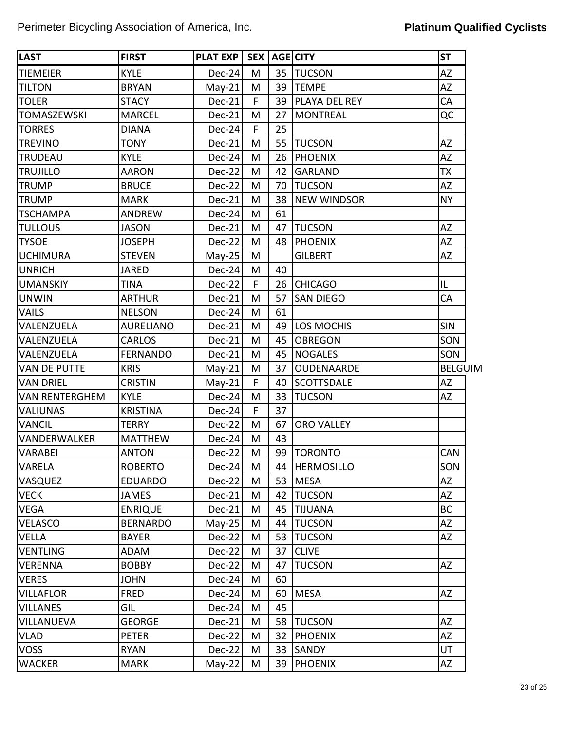| <b>LAST</b>           | <b>FIRST</b>     | <b>PLAT EXP</b> | SEX         |    | AGE CITY             | <b>ST</b>      |
|-----------------------|------------------|-----------------|-------------|----|----------------------|----------------|
| <b>TIEMEIER</b>       | <b>KYLE</b>      | $Dec-24$        | M           | 35 | <b>TUCSON</b>        | <b>AZ</b>      |
| <b>TILTON</b>         | <b>BRYAN</b>     | $May-21$        | M           | 39 | <b>TEMPE</b>         | AZ             |
| <b>TOLER</b>          | <b>STACY</b>     | Dec-21          | F           | 39 | <b>PLAYA DEL REY</b> | CA             |
| <b>TOMASZEWSKI</b>    | <b>MARCEL</b>    | Dec-21          | М           | 27 | <b>MONTREAL</b>      | QC             |
| <b>TORRES</b>         | <b>DIANA</b>     | Dec-24          | F           | 25 |                      |                |
| <b>TREVINO</b>        | <b>TONY</b>      | Dec-21          | M           | 55 | <b>TUCSON</b>        | AZ             |
| <b>TRUDEAU</b>        | <b>KYLE</b>      | Dec-24          | M           | 26 | PHOENIX              | ΑZ             |
| <b>TRUJILLO</b>       | <b>AARON</b>     | Dec-22          | M           | 42 | <b>GARLAND</b>       | <b>TX</b>      |
| <b>TRUMP</b>          | <b>BRUCE</b>     | Dec-22          | M           | 70 | <b>TUCSON</b>        | AZ             |
| <b>TRUMP</b>          | <b>MARK</b>      | Dec-21          | M           | 38 | <b>NEW WINDSOR</b>   | <b>NY</b>      |
| <b>TSCHAMPA</b>       | ANDREW           | Dec-24          | M           | 61 |                      |                |
| <b>TULLOUS</b>        | <b>JASON</b>     | Dec-21          | M           | 47 | <b>TUCSON</b>        | <b>AZ</b>      |
| <b>TYSOE</b>          | JOSEPH           | Dec-22          | M           | 48 | PHOENIX              | ΑZ             |
| <b>UCHIMURA</b>       | <b>STEVEN</b>    | $May-25$        | M           |    | <b>GILBERT</b>       | AZ             |
| <b>UNRICH</b>         | <b>JARED</b>     | Dec-24          | M           | 40 |                      |                |
| <b>UMANSKIY</b>       | <b>TINA</b>      | Dec-22          | F           | 26 | <b>CHICAGO</b>       | IL             |
| <b>UNWIN</b>          | <b>ARTHUR</b>    | Dec-21          | M           | 57 | <b>SAN DIEGO</b>     | CA             |
| <b>VAILS</b>          | <b>NELSON</b>    | Dec-24          | M           | 61 |                      |                |
| VALENZUELA            | <b>AURELIANO</b> | Dec-21          | M           | 49 | <b>LOS MOCHIS</b>    | <b>SIN</b>     |
| VALENZUELA            | <b>CARLOS</b>    | Dec-21          | M           | 45 | <b>OBREGON</b>       | SON            |
| VALENZUELA            | <b>FERNANDO</b>  | Dec-21          | M           | 45 | NOGALES              | SON            |
| <b>VAN DE PUTTE</b>   | <b>KRIS</b>      | $May-21$        | M           | 37 | <b>OUDENAARDE</b>    | <b>BELGUIM</b> |
| <b>VAN DRIEL</b>      | <b>CRISTIN</b>   | $May-21$        | $\mathsf F$ | 40 | <b>SCOTTSDALE</b>    | AZ             |
| <b>VAN RENTERGHEM</b> | <b>KYLE</b>      | Dec-24          | M           | 33 | <b>TUCSON</b>        | AZ             |
| <b>VALIUNAS</b>       | <b>KRISTINA</b>  | Dec-24          | F           | 37 |                      |                |
| <b>VANCIL</b>         | <b>TERRY</b>     | Dec-22          | M           | 67 | <b>ORO VALLEY</b>    |                |
| VANDERWALKER          | <b>MATTHEW</b>   | $Dec-24$        | M           | 43 |                      |                |
| <b>VARABEI</b>        | <b>ANTON</b>     | Dec-22          | M           | 99 | <b>TORONTO</b>       | CAN            |
| <b>VARELA</b>         | <b>ROBERTO</b>   | $Dec-24$        | M           | 44 | <b>HERMOSILLO</b>    | SON            |
| <b>VASQUEZ</b>        | <b>EDUARDO</b>   | Dec-22          | М           | 53 | <b>MESA</b>          | AZ             |
| <b>VECK</b>           | JAMES            | $Dec-21$        | M           | 42 | <b>TUCSON</b>        | AZ             |
| <b>VEGA</b>           | <b>ENRIQUE</b>   | Dec-21          | M           | 45 | <b>TIJUANA</b>       | <b>BC</b>      |
| <b>VELASCO</b>        | <b>BERNARDO</b>  | $May-25$        | M           | 44 | <b>TUCSON</b>        | AZ             |
| <b>VELLA</b>          | <b>BAYER</b>     | Dec-22          | M           | 53 | <b>TUCSON</b>        | AZ             |
| <b>VENTLING</b>       | <b>ADAM</b>      | Dec-22          | M           | 37 | <b>CLIVE</b>         |                |
| <b>VERENNA</b>        | <b>BOBBY</b>     | Dec-22          | M           | 47 | <b>TUCSON</b>        | AZ             |
| <b>VERES</b>          | <b>JOHN</b>      | Dec-24          | M           | 60 |                      |                |
| <b>VILLAFLOR</b>      | <b>FRED</b>      | $Dec-24$        | M           | 60 | <b>MESA</b>          | AZ             |
| <b>VILLANES</b>       | GIL              | Dec-24          | M           | 45 |                      |                |
| VILLANUEVA            | <b>GEORGE</b>    | Dec-21          | M           | 58 | <b>TUCSON</b>        | AZ             |
| <b>VLAD</b>           | <b>PETER</b>     | Dec-22          | M           | 32 | <b>PHOENIX</b>       | AZ             |
| <b>VOSS</b>           | <b>RYAN</b>      | Dec-22          | M           | 33 | SANDY                | UT             |
| <b>WACKER</b>         | MARK             | $May-22$        | M           | 39 | <b>PHOENIX</b>       | AZ             |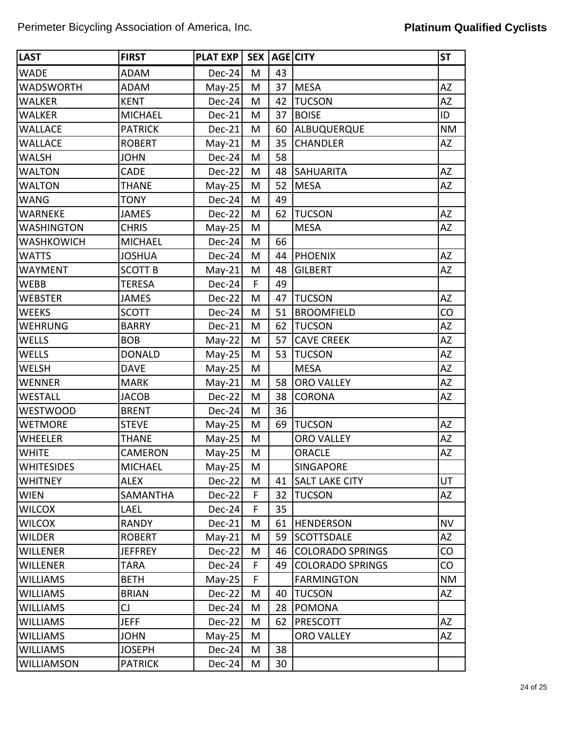| <b>LAST</b>       | <b>FIRST</b>   | <b>PLAT EXP</b> | <b>SEX</b> |    | AGE CITY                | <b>ST</b> |
|-------------------|----------------|-----------------|------------|----|-------------------------|-----------|
| <b>WADE</b>       | <b>ADAM</b>    | $Dec-24$        | M          | 43 |                         |           |
| <b>WADSWORTH</b>  | <b>ADAM</b>    | $May-25$        | M          | 37 | <b>MESA</b>             | AZ        |
| <b>WALKER</b>     | <b>KENT</b>    | $Dec-24$        | M          | 42 | <b>TUCSON</b>           | <b>AZ</b> |
| <b>WALKER</b>     | <b>MICHAEL</b> | Dec-21          | M          | 37 | <b>BOISE</b>            | ID        |
| <b>WALLACE</b>    | <b>PATRICK</b> | Dec-21          | M          | 60 | ALBUQUERQUE             | <b>NM</b> |
| <b>WALLACE</b>    | <b>ROBERT</b>  | $May-21$        | M          | 35 | <b>CHANDLER</b>         | <b>AZ</b> |
| <b>WALSH</b>      | <b>JOHN</b>    | Dec-24          | M          | 58 |                         |           |
| <b>WALTON</b>     | <b>CADE</b>    | Dec-22          | M          | 48 | <b>SAHUARITA</b>        | <b>AZ</b> |
| <b>WALTON</b>     | <b>THANE</b>   | $May-25$        | M          | 52 | <b>MESA</b>             | AZ        |
| <b>WANG</b>       | <b>TONY</b>    | Dec-24          | M          | 49 |                         |           |
| <b>WARNEKE</b>    | <b>JAMES</b>   | Dec-22          | M          | 62 | <b>TUCSON</b>           | <b>AZ</b> |
| <b>WASHINGTON</b> | <b>CHRIS</b>   | $May-25$        | M          |    | <b>MESA</b>             | <b>AZ</b> |
| <b>WASHKOWICH</b> | <b>MICHAEL</b> | Dec-24          | M          | 66 |                         |           |
| <b>WATTS</b>      | <b>JOSHUA</b>  | $Dec-24$        | M          | 44 | <b>PHOENIX</b>          | <b>AZ</b> |
| <b>WAYMENT</b>    | <b>SCOTT B</b> | $May-21$        | M          | 48 | <b>GILBERT</b>          | AZ        |
| <b>WEBB</b>       | <b>TERESA</b>  | $Dec-24$        | F          | 49 |                         |           |
| <b>WEBSTER</b>    | <b>JAMES</b>   | Dec-22          | M          | 47 | <b>TUCSON</b>           | <b>AZ</b> |
| <b>WEEKS</b>      | <b>SCOTT</b>   | Dec-24          | M          | 51 | <b>BROOMFIELD</b>       | CO        |
| <b>WEHRUNG</b>    | <b>BARRY</b>   | Dec-21          | M          | 62 | <b>TUCSON</b>           | AZ        |
| <b>WELLS</b>      | <b>BOB</b>     | $May-22$        | M          | 57 | <b>CAVE CREEK</b>       | <b>AZ</b> |
| <b>WELLS</b>      | <b>DONALD</b>  | $May-25$        | M          | 53 | <b>TUCSON</b>           | AZ        |
| <b>WELSH</b>      | <b>DAVE</b>    | $May-25$        | M          |    | <b>MESA</b>             | AZ        |
| <b>WENNER</b>     | <b>MARK</b>    | $May-21$        | M          | 58 | <b>ORO VALLEY</b>       | <b>AZ</b> |
| <b>WESTALL</b>    | <b>JACOB</b>   | Dec-22          | M          | 38 | <b>CORONA</b>           | AZ        |
| <b>WESTWOOD</b>   | <b>BRENT</b>   | $Dec-24$        | M          | 36 |                         |           |
| <b>WETMORE</b>    | <b>STEVE</b>   | $May-25$        | M          | 69 | <b>TUCSON</b>           | <b>AZ</b> |
| <b>WHEELER</b>    | <b>THANE</b>   | $May-25$        | M          |    | <b>ORO VALLEY</b>       | AZ        |
| <b>WHITE</b>      | <b>CAMERON</b> | $May-25$        | M          |    | <b>ORACLE</b>           | AZ        |
| <b>WHITESIDES</b> | <b>MICHAEL</b> | $May-25$        | M          |    | SINGAPORE               |           |
| <b>WHITNEY</b>    | <b>ALEX</b>    | $Dec-22$        | M          | 41 | <b>SALT LAKE CITY</b>   | UT        |
| <b>WIEN</b>       | SAMANTHA       | $Dec-22$        | F          | 32 | <b>TUCSON</b>           | AZ        |
| <b>WILCOX</b>     | LAEL           | $Dec-24$        | F          | 35 |                         |           |
| <b>WILCOX</b>     | <b>RANDY</b>   | Dec-21          | M          | 61 | <b>HENDERSON</b>        | <b>NV</b> |
| <b>WILDER</b>     | <b>ROBERT</b>  | $May-21$        | M          | 59 | <b>SCOTTSDALE</b>       | AZ        |
| <b>WILLENER</b>   | <b>JEFFREY</b> | $Dec-22$        | M          | 46 | <b>COLORADO SPRINGS</b> | CO        |
| <b>WILLENER</b>   | <b>TARA</b>    | $Dec-24$        | F          | 49 | <b>COLORADO SPRINGS</b> | CO        |
| <b>WILLIAMS</b>   | <b>BETH</b>    | $May-25$        | F          |    | <b>FARMINGTON</b>       | <b>NM</b> |
| <b>WILLIAMS</b>   | <b>BRIAN</b>   | $Dec-22$        | M          | 40 | <b>TUCSON</b>           | AZ        |
| <b>WILLIAMS</b>   | CJ             | $Dec-24$        | M          | 28 | <b>POMONA</b>           |           |
| <b>WILLIAMS</b>   | <b>JEFF</b>    | $Dec-22$        | M          | 62 | PRESCOTT                | AZ        |
| <b>WILLIAMS</b>   | <b>JOHN</b>    | $May-25$        | M          |    | ORO VALLEY              | AZ        |
| <b>WILLIAMS</b>   | <b>JOSEPH</b>  | $Dec-24$        | M          | 38 |                         |           |
| <b>WILLIAMSON</b> | <b>PATRICK</b> | $Dec-24$        | M          | 30 |                         |           |